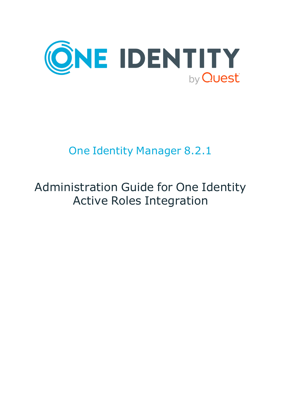

# One Identity Manager 8.2.1

# Administration Guide for One Identity Active Roles Integration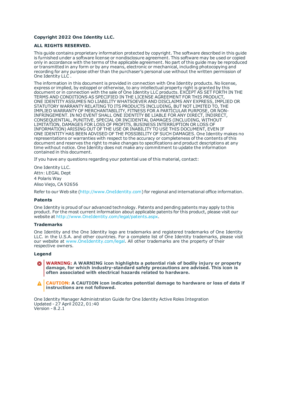#### **Copyright 2022 One Identity LLC.**

#### **ALL RIGHTS RESERVED.**

This guide contains proprietary information protected by copyright. The software described in this guide is furnished under a software license or nondisclosure agreement. This software may be used or copied only in accordance with the terms of the applicable agreement. No part of this guide may be reproduced or transmitted in any form or by any means, electronic or mechanical, including photocopying and recording for any purpose other than the purchaser's personal use without the written permission of One Identity LLC .

The information in this document is provided in connection with One Identity products. No license, express or implied, by estoppel or otherwise, to any intellectual property right is granted by this document or in connection with the sale of One Identity LLC products. EXCEPT AS SET FORTH IN THE TERMS AND CONDITIONS AS SPECIFIED IN THE LICENSE AGREEMENT FOR THIS PRODUCT, ONE IDENTITY ASSUMES NO LIABILITY WHATSOEVER AND DISCLAIMS ANY EXPRESS, IMPLIED OR STATUTORY WARRANTY RELATING TO ITS PRODUCTS INCLUDING, BUT NOT LIMITED TO, THE IMPLIED WARRANTY OF MERCHANTABILITY, FITNESS FOR A PARTICULAR PURPOSE, OR NON-INFRINGEMENT. IN NO EVENT SHALL ONE IDENTITY BE LIABLE FOR ANY DIRECT, INDIRECT, CONSEQUENTIAL, PUNITIVE, SPECIAL OR INCIDENTAL DAMAGES (INCLUDING, WITHOUT LIMITATION, DAMAGES FOR LOSS OF PROFITS, BUSINESS INTERRUPTION OR LOSS OF INFORMATION) ARISING OUT OF THE USE OR INABILITY TO USE THIS DOCUMENT, EVEN IF ONE IDENTITY HAS BEEN ADVISED OF THE POSSIBILITY OF SUCH DAMAGES. One Identity makes no representations or warranties with respect to the accuracy or completeness of the contents of this document and reserves the right to make changes to specifications and product descriptions at any time without notice. One Identity does not make any commitment to update the information contained in this document.

If you have any questions regarding your potential use of this material, contact:

One Identity LLC. Attn: LEGAL Dept 4 Polaris Way Aliso Viejo, CA 92656

Refer to our Web site ([http://www.OneIdentity.com](http://www.oneidentity.com/)) for regional and international office information.

#### **Patents**

One Identity is proud of our advanced technology. Patents and pending patents may apply to this product. For the most current information about applicable patents for this product, please visit our website at [http://www.OneIdentity.com/legal/patents.aspx](http://www.oneidentity.com/legal/patents.aspx).

#### **Trademarks**

One Identity and the One Identity logo are trademarks and registered trademarks of One Identity LLC. in the U.S.A. and other countries. For a complete list of One Identity trademarks, please visit our website at [www.OneIdentity.com/legal](http://www.oneidentity.com/legal). All other trademarks are the property of their respective owners.

#### **Legend**

**WARNING: A WARNING icon highlights a potential risk of bodily injury or property damage, for which industry-standard safety precautions are advised. This icon is often associated with electrical hazards related to hardware.**

**CAUTION: A CAUTION icon indicates potential damage to hardware or loss of data if** A **instructions are not followed.**

One Identity Manager Administration Guide for One Identity Active Roles Integration Updated - 27 April 2022, 01:40 Version - 8.2.1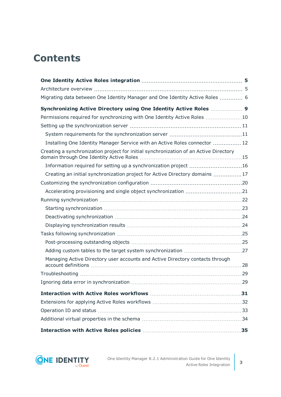## **Contents**

| Migrating data between One Identity Manager and One Identity Active Roles  6          |  |
|---------------------------------------------------------------------------------------|--|
| Synchronizing Active Directory using One Identity Active Roles  9                     |  |
| Permissions required for synchronizing with One Identity Active Roles 10              |  |
|                                                                                       |  |
|                                                                                       |  |
| Installing One Identity Manager Service with an Active Roles connector  12            |  |
| Creating a synchronization project for initial synchronization of an Active Directory |  |
| Information required for setting up a synchronization project 16                      |  |
| Creating an initial synchronization project for Active Directory domains 17           |  |
|                                                                                       |  |
|                                                                                       |  |
|                                                                                       |  |
|                                                                                       |  |
|                                                                                       |  |
|                                                                                       |  |
|                                                                                       |  |
|                                                                                       |  |
|                                                                                       |  |
| Managing Active Directory user accounts and Active Directory contacts through         |  |
|                                                                                       |  |
|                                                                                       |  |
|                                                                                       |  |
|                                                                                       |  |
|                                                                                       |  |
|                                                                                       |  |
|                                                                                       |  |
|                                                                                       |  |

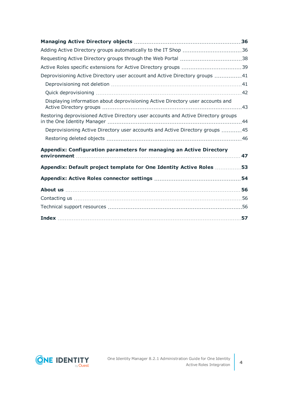| Adding Active Directory groups automatically to the IT Shop 36                     |     |
|------------------------------------------------------------------------------------|-----|
|                                                                                    |     |
|                                                                                    |     |
| Deprovisioning Active Directory user account and Active Directory groups 41        |     |
|                                                                                    |     |
|                                                                                    |     |
| Displaying information about deprovisioning Active Directory user accounts and     |     |
| Restoring deprovisioned Active Directory user accounts and Active Directory groups |     |
| Deprovisioning Active Directory user accounts and Active Directory groups 45       |     |
|                                                                                    |     |
| Appendix: Configuration parameters for managing an Active Directory                | 47  |
| Appendix: Default project template for One Identity Active Roles 53                |     |
|                                                                                    |     |
|                                                                                    |     |
|                                                                                    |     |
|                                                                                    |     |
|                                                                                    | .57 |

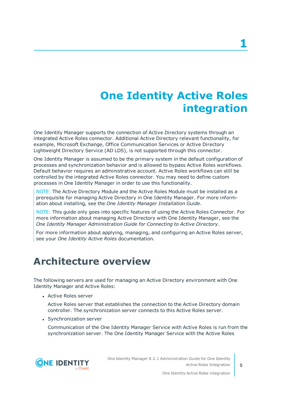# **One Identity Active Roles integration**

<span id="page-4-0"></span>One Identity Manager supports the connection of Active Directory systems through an integrated Active Roles connector. Additional Active Directory relevant functionality, for example, Microsoft Exchange, Office Communication Services or Active Directory Lightweight Directory Service (AD LDS), is not supported through this connector.

One Identity Manager is assumed to be the primary system in the default configuration of processes and synchronization behavior and is allowed to bypass Active Roles workflows. Default behavior requires an administrative account. Active Roles workflows can still be controlled by the integrated Active Roles connector. You may need to define custom processes in One Identity Manager in order to use this functionality.

NOTE: The Active Directory Module and the Active Roles Module must be installed as a prerequisite for managing Active Directory in One Identity Manager. For more information about installing, see the *One Identity Manager Installation Guide*.

NOTE: This guide only goes into specific features of using the Active Roles Connector. For more information about managing Active Directory with One Identity Manager, see the *One Identity Manager Administration Guide for Connecting to Active Directory*.

For more information about applying, managing, and configuring an Active Roles server, see your *One Identity Active Roles* documentation.

### <span id="page-4-1"></span>**Architecture overview**

The following servers are used for managing an Active Directory environment with One Identity Manager and Active Roles:

• Active Roles server

Active Roles server that establishes the connection to the Active Directory domain controller. The synchronization server connects to this Active Roles server.

• Synchronization server

Communication of the One Identity Manager Service with Active Roles is run from the synchronization server. The One Identity Manager Service with the Active Roles

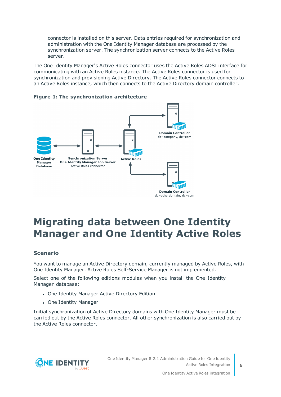connector is installed on this server. Data entries required for synchronization and administration with the One Identity Manager database are processed by the synchronization server. The synchronization server connects to the Active Roles server.

The One Identity Manager's Active Roles connector uses the Active Roles ADSI interface for communicating with an Active Roles instance. The Active Roles connector is used for synchronization and provisioning Active Directory. The Active Roles connector connects to an Active Roles instance, which then connects to the Active Directory domain controller.





## <span id="page-5-0"></span>**Migrating data between One Identity Manager and One Identity Active Roles**

#### **Scenario**

You want to manage an Active Directory domain, currently managed by Active Roles, with One Identity Manager. Active Roles Self-Service Manager is not implemented.

Select one of the following editions modules when you install the One Identity Manager database:

- One Identity Manager Active Directory Edition
- One Identity Manager

Initial synchronization of Active Directory domains with One Identity Manager must be carried out by the Active Roles connector. All other synchronization is also carried out by the Active Roles connector.



One Identity Manager 8.2.1 Administration Guide for One Identity Active Roles Integration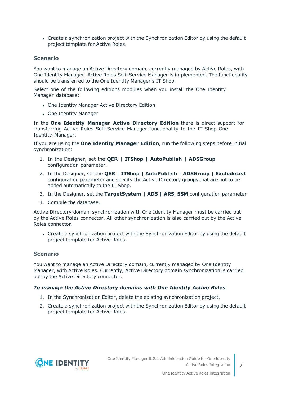• Create a synchronization project with the Synchronization Editor by using the default project template for Active Roles.

#### **Scenario**

You want to manage an Active Directory domain, currently managed by Active Roles, with One Identity Manager. Active Roles Self-Service Manager is implemented. The functionality should be transferred to the One Identity Manager's IT Shop.

Select one of the following editions modules when you install the One Identity Manager database:

- One Identity Manager Active Directory Edition
- One Identity Manager

In the **One Identity Manager Active Directory Edition** there is direct support for transferring Active Roles Self-Service Manager functionality to the IT Shop One Identity Manager.

If you are using the **One Identity Manager Edition**, run the following steps before initial synchronization:

- 1. In the Designer, set the **QER | ITShop | AutoPublish | ADSGroup** configuration parameter.
- 2. In the Designer, set the **QER | ITShop | AutoPublish | ADSGroup | ExcludeList** configuration parameter and specify the Active Directory groups that are not to be added automatically to the IT Shop.
- 3. In the Designer, set the **TargetSystem | ADS | ARS\_SSM** configuration parameter
- 4. Compile the database.

Active Directory domain synchronization with One Identity Manager must be carried out by the Active Roles connector. All other synchronization is also carried out by the Active Roles connector.

• Create a synchronization project with the Synchronization Editor by using the default project template for Active Roles.

#### **Scenario**

You want to manage an Active Directory domain, currently managed by One Identity Manager, with Active Roles. Currently, Active Directory domain synchronization is carried out by the Active Directory connector.

#### *To manage the Active Directory domains with One Identity Active Roles*

- 1. In the Synchronization Editor, delete the existing synchronization project.
- 2. Create a synchronization project with the Synchronization Editor by using the default project template for Active Roles.

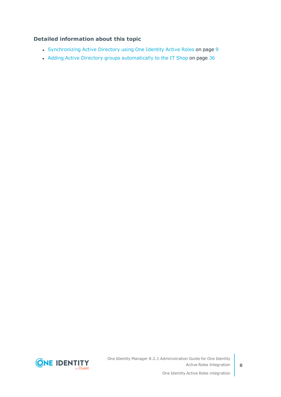#### **Detailed information about this topic**

- [Synchronizing](#page-8-0) Active Directory using One Identity Active Roles on page 9
- Adding Active Directory groups [automatically](#page-35-1) to the IT Shop on page 36



One Identity Manager 8.2.1 Administration Guide for One Identity Active Roles Integration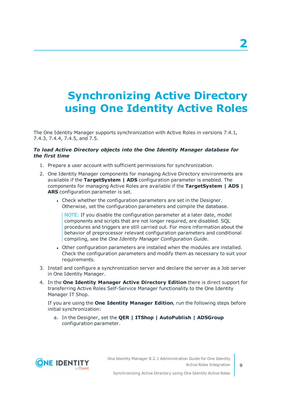# <span id="page-8-0"></span>**Synchronizing Active Directory using One Identity Active Roles**

The One Identity Manager supports synchronization with Active Roles in versions 7.4.1, 7.4.3, 7.4.4, 7.4.5, and 7.5.

#### *To load Active Directory objects into the One Identity Manager database for the first time*

- 1. Prepare a user account with sufficient permissions for synchronization.
- 2. One Identity Manager components for managing Active Directory environments are available if the **TargetSystem | ADS** configuration parameter is enabled. The components for managing Active Roles are available if the **TargetSystem | ADS | ARS** configuration parameter is set.
	- Check whether the configuration parameters are set in the Designer. Otherwise, set the configuration parameters and compile the database.

NOTE: If you disable the configuration parameter at a later date, model components and scripts that are not longer required, are disabled. SQL procedures and triggers are still carried out. For more information about the behavior of preprocessor relevant configuration parameters and conditional compiling, see the *One Identity Manager Configuration Guide*.

- Other configuration parameters are installed when the modules are installed. Check the configuration parameters and modify them as necessary to suit your requirements.
- 3. Install and configure a synchronization server and declare the server as a Job server in One Identity Manager.
- 4. In the **One Identity Manager Active Directory Edition** there is direct support for transferring Active Roles Self-Service Manager functionality to the One Identity Manager IT Shop.

If you are using the **One Identity Manager Edition**, run the following steps before initial synchronization:

a. In the Designer, set the **QER | ITShop | AutoPublish | ADSGroup** configuration parameter.

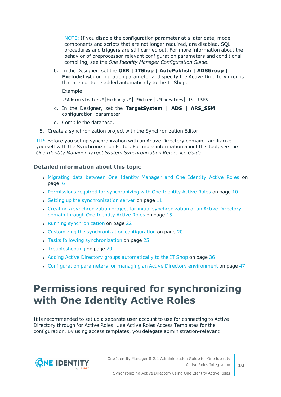NOTE: If you disable the configuration parameter at a later date, model components and scripts that are not longer required, are disabled. SQL procedures and triggers are still carried out. For more information about the behavior of preprocessor relevant configuration parameters and conditional compiling, see the *One Identity Manager Configuration Guide*.

b. In the Designer, set the **QER | ITShop | AutoPublish | ADSGroup | ExcludeList** configuration parameter and specify the Active Directory groups that are not to be added automatically to the IT Shop.

Example:

- .\*Administrator.\*|Exchange.\*|.\*Admins|.\*Operators|IIS\_IUSRS
- c. In the Designer, set the **TargetSystem | ADS | ARS\_SSM** configuration parameter
- d. Compile the database.
- 5. Create a synchronization project with the Synchronization Editor.

TIP: Before you set up synchronization with an Active Directory domain, familiarize yourself with the Synchronization Editor. For more information about this tool, see the *One Identity Manager Target System Synchronization Reference Guide*.

#### **Detailed information about this topic**

- [Migrating](#page-5-0) data between One Identity Manager and One Identity Active Roles on [page](#page-5-0) 6
- Permissions required for [synchronizing](#page-9-0) with One Identity Active Roles on page 10
- $\bullet$  Setting up the [synchronization](#page-10-0) server on page 11
- Creating a [synchronization](#page-14-0) project for initial synchronization of an Active Directory domain through One [Identity](#page-14-0) Active Roles on page 15
- Running [synchronization](#page-21-0) on page 22
- Customizing the [synchronization](#page-19-0) configuration on page 20
- Tasks following [synchronization](#page-24-0) on page 25
- [Troubleshooting](#page-28-0) on page 29
- Adding Active Directory groups [automatically](#page-35-1) to the IT Shop on page 36
- <span id="page-9-0"></span>• [Configuration](#page-46-0) parameters for managing an Active Directory environment on page 47

### **Permissions required for synchronizing with One Identity Active Roles**

It is recommended to set up a separate user account to use for connecting to Active Directory through for Active Roles. Use Active Roles Access Templates for the configuration. By using access templates, you delegate administration-relevant

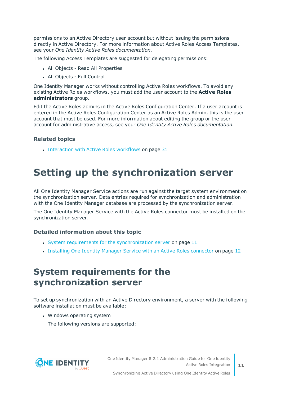permissions to an Active Directory user account but without issuing the permissions directly in Active Directory. For more information about Active Roles Access Templates, see your *One Identity Active Roles documentation*.

The following Access Templates are suggested for delegating permissions:

- All Objects Read All Properties
- All Objects Full Control

One Identity Manager works without controlling Active Roles workflows. To avoid any existing Active Roles workflows, you must add the user account to the **Active Roles administrators** group.

Edit the Active Roles admins in the Active Roles Configuration Center. If a user account is entered in the Active Roles Configuration Center as an Active Roles Admin, this is the user account that must be used. For more information about editing the group or the user account for administrative access, see your *One Identity Active Roles documentation*.

#### **Related topics**

<span id="page-10-0"></span> $\bullet$  [Interaction](#page-30-0) with Active Roles workflows on page 31

### **Setting up the synchronization server**

All One Identity Manager Service actions are run against the target system environment on the synchronization server. Data entries required for synchronization and administration with the One Identity Manager database are processed by the synchronization server.

The One Identity Manager Service with the Active Roles connector must be installed on the synchronization server.

#### **Detailed information about this topic**

- System requirements for the [synchronization](#page-10-1) server on page 11
- Installing One Identity Manager Service with an Active Roles [connector](#page-11-0) on page 12

### <span id="page-10-1"></span>**System requirements for the synchronization server**

To set up synchronization with an Active Directory environment, a server with the following software installation must be available:

• Windows operating system

The following versions are supported:



Synchronizing Active Directory using One Identity Active Roles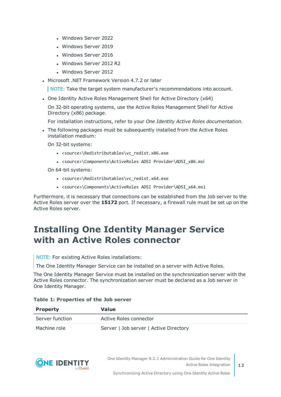- Windows Server 2022
- Windows Server 2019
- Windows Server 2016
- Windows Server 2012 R2
- Windows Server 2012
- Microsoft .NET Framework Version 4.7.2 or later

NOTE: Take the target system manufacturer's recommendations into account.

• One Identity Active Roles Management Shell for Active Directory (x64)

On 32-bit operating systems, use the Active Roles Management Shell for Active Directory (x86) package.

For installation instructions, refer to your *One Identity Active Roles documentation*.

• The following packages must be subsequently installed from the Active Roles installation medium:

On 32-bit systems:

- <source>\Redistributables\vc redist.x86.exe
- <sup>l</sup> <source>\Components\ActiveRoles ADSI Provider\ADSI\_x86.msi

On 64-bit systems:

- <sup>l</sup> <source>\Redistributables\vc\_redist.x64.exe
- <sup>l</sup> <source>\Components\ActiveRoles ADSI Provider\ADSI\_x64.msi

Furthermore, it is necessary that connections can be established from the Job server to the Active Roles server over the **15172** port. If necessary, a firewall rule must be set up on the Active Roles server.

### <span id="page-11-0"></span>**Installing One Identity Manager Service with an Active Roles connector**

NOTE: For existing Active Roles installations:

The One Identity Manager Service can be installed on a server with Active Roles.

The One Identity Manager Service must be installed on the synchronization server with the Active Roles connector. The synchronization server must be declared as a Job server in One Identity Manager.

| <b>Property</b> | Value                                  |
|-----------------|----------------------------------------|
| Server function | Active Roles connector                 |
| Machine role    | Server   Job server   Active Directory |

#### **Table 1: Properties of the Job server**



One Identity Manager 8.2.1 Administration Guide for One Identity Active Roles Integration

**12**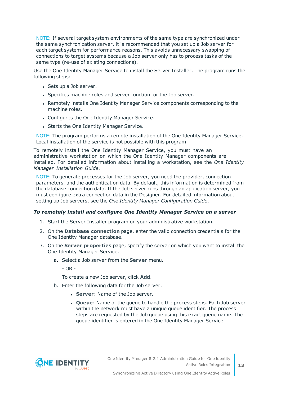NOTE: If several target system environments of the same type are synchronized under the same synchronization server, it is recommended that you set up a Job server for each target system for performance reasons. This avoids unnecessary swapping of connections to target systems because a Job server only has to process tasks of the same type (re-use of existing connections).

Use the One Identity Manager Service to install the Server Installer. The program runs the following steps:

- Sets up a Job server.
- Specifies machine roles and server function for the Job server.
- Remotely installs One Identity Manager Service components corresponding to the machine roles.
- Configures the One Identity Manager Service.
- Starts the One Identity Manager Service.

NOTE: The program performs a remote installation of the One Identity Manager Service. Local installation of the service is not possible with this program.

To remotely install the One Identity Manager Service, you must have an administrative workstation on which the One Identity Manager components are installed. For detailed information about installing a workstation, see the *One Identity Manager Installation Guide*.

NOTE: To generate processes for the Job server, you need the provider, connection parameters, and the authentication data. By default, this information is determined from the database connection data. If the Job server runs through an application server, you must configure extra connection data in the Designer. For detailed information about setting up Job servers, see the *One Identity Manager Configuration Guide*.

#### *To remotely install and configure One Identity Manager Service on a server*

- 1. Start the Server Installer program on your administrative workstation.
- 2. On the **Database connection** page, enter the valid connection credentials for the One Identity Manager database.
- 3. On the **Server properties** page, specify the server on which you want to install the One Identity Manager Service.
	- a. Select a Job server from the **Server** menu.

 $- OR -$ 

To create a new Job server, click **Add**.

- b. Enter the following data for the Job server.
	- **Server:** Name of the Job server.
	- <sup>l</sup> **Queue**: Name of the queue to handle the process steps. Each Job server within the network must have a unique queue identifier. The process steps are requested by the Job queue using this exact queue name. The queue identifier is entered in the One Identity Manager Service

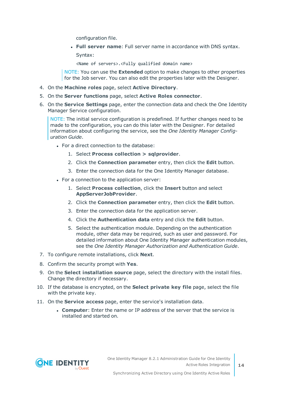configuration file.

<sup>l</sup> **Full server name**: Full server name in accordance with DNS syntax.

Syntax:

<Name of servers>.<Fully qualified domain name>

NOTE: You can use the **Extended** option to make changes to other properties for the Job server. You can also edit the properties later with the Designer.

- 4. On the **Machine roles** page, select **Active Directory**.
- 5. On the **Server functions** page, select **Active Roles connector**.
- 6. On the **Service Settings** page, enter the connection data and check the One Identity Manager Service configuration.

NOTE: The initial service configuration is predefined. If further changes need to be made to the configuration, you can do this later with the Designer. For detailed information about configuring the service, see the *One Identity Manager Configuration Guide*.

- For a direct connection to the database:
	- 1. Select **Process collection > sqlprovider**.
	- 2. Click the **Connection parameter** entry, then click the **Edit** button.
	- 3. Enter the connection data for the One Identity Manager database.
- For a connection to the application server:
	- 1. Select **Process collection**, click the **Insert** button and select **AppServerJobProvider**.
	- 2. Click the **Connection parameter** entry, then click the **Edit** button.
	- 3. Enter the connection data for the application server.
	- 4. Click the **Authentication data** entry and click the **Edit** button.
	- 5. Select the authentication module. Depending on the authentication module, other data may be required, such as user and password. For detailed information about One Identity Manager authentication modules, see the *One Identity Manager Authorization and Authentication Guide*.
- 7. To configure remote installations, click **Next**.
- 8. Confirm the security prompt with **Yes**.
- 9. On the **Select installation source** page, select the directory with the install files. Change the directory if necessary.
- 10. If the database is encrypted, on the **Select private key file** page, select the file with the private key.
- 11. On the **Service access** page, enter the service's installation data.
	- **Computer**: Enter the name or IP address of the server that the service is installed and started on.



**14**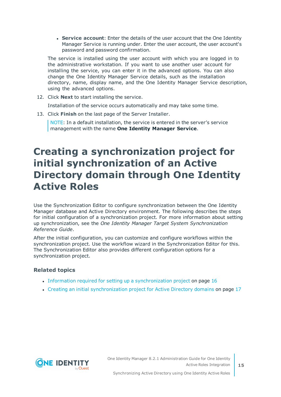**. Service account:** Enter the details of the user account that the One Identity Manager Service is running under. Enter the user account, the user account's password and password confirmation.

The service is installed using the user account with which you are logged in to the administrative workstation. If you want to use another user account for installing the service, you can enter it in the advanced options. You can also change the One Identity Manager Service details, such as the installation directory, name, display name, and the One Identity Manager Service description, using the advanced options.

- 12. Click **Next** to start installing the service. Installation of the service occurs automatically and may take some time.
- 13. Click **Finish** on the last page of the Server Installer.

NOTE: In a default installation, the service is entered in the server's service management with the name **One Identity Manager Service**.

### <span id="page-14-0"></span>**Creating a synchronization project for initial synchronization of an Active Directory domain through One Identity Active Roles**

Use the Synchronization Editor to configure synchronization between the One Identity Manager database and Active Directory environment. The following describes the steps for initial configuration of a synchronization project. For more information about setting up synchronization, see the *One Identity Manager Target System Synchronization Reference Guide*.

After the initial configuration, you can customize and configure workflows within the synchronization project. Use the workflow wizard in the Synchronization Editor for this. The Synchronization Editor also provides different configuration options for a synchronization project.

#### **Related topics**

- Information required for setting up a [synchronization](#page-15-0) project on page 16
- Creating an initial [synchronization](#page-16-0) project for Active Directory domains on page 17

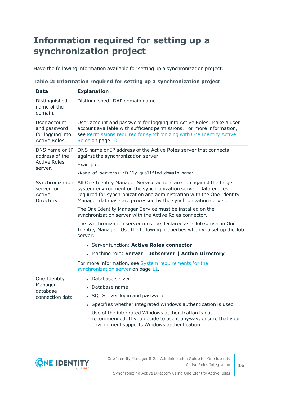### <span id="page-15-0"></span>**Information required for setting up a synchronization project**

Have the following information available for setting up a synchronization project.

| Data                                                               | <b>Explanation</b>                                                                                                                                                                                                                                                                                                                                                                                                                                                                                                                                                                                              |
|--------------------------------------------------------------------|-----------------------------------------------------------------------------------------------------------------------------------------------------------------------------------------------------------------------------------------------------------------------------------------------------------------------------------------------------------------------------------------------------------------------------------------------------------------------------------------------------------------------------------------------------------------------------------------------------------------|
| Distinguished<br>name of the<br>domain.                            | Distinguished LDAP domain name                                                                                                                                                                                                                                                                                                                                                                                                                                                                                                                                                                                  |
| User account<br>and password<br>for logging into<br>Active Roles.  | User account and password for logging into Active Roles. Make a user<br>account available with sufficient permissions. For more information,<br>see Permissions required for synchronizing with One Identity Active<br>Roles on page 10.                                                                                                                                                                                                                                                                                                                                                                        |
| DNS name or IP<br>address of the<br><b>Active Roles</b><br>server. | DNS name or IP address of the Active Roles server that connects<br>against the synchronization server.<br>Example:<br><name of="" servers="">.<fully domain="" name="" qualified=""></fully></name>                                                                                                                                                                                                                                                                                                                                                                                                             |
| Synchronization<br>server for<br>Active<br>Directory               | All One Identity Manager Service actions are run against the target<br>system environment on the synchronization server. Data entries<br>required for synchronization and administration with the One Identity<br>Manager database are processed by the synchronization server.<br>The One Identity Manager Service must be installed on the<br>synchronization server with the Active Roles connector.<br>The synchronization server must be declared as a Job server in One<br>Identity Manager. Use the following properties when you set up the Job<br>server.<br>• Server function: Active Roles connector |
|                                                                    | • Machine role: Server   Jobserver   Active Directory<br>For more information, see System requirements for the                                                                                                                                                                                                                                                                                                                                                                                                                                                                                                  |
| One Identity<br>Manager<br>database<br>connection data             | synchronization server on page 11.<br>• Database server<br>• Database name<br>• SQL Server login and password<br>• Specifies whether integrated Windows authentication is used<br>Use of the integrated Windows authentication is not<br>recommended. If you decide to use it anyway, ensure that your<br>environment supports Windows authentication.                                                                                                                                                                                                                                                          |

**Table 2: Information required for setting up a synchronization project**



**16**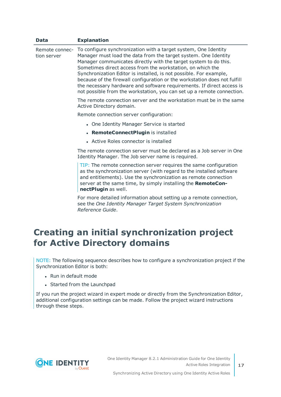| <b>Data</b>                   | <b>Explanation</b>                                                                                                                                                                                                                                                                                                                                                                                                                                                                                                                                                         |
|-------------------------------|----------------------------------------------------------------------------------------------------------------------------------------------------------------------------------------------------------------------------------------------------------------------------------------------------------------------------------------------------------------------------------------------------------------------------------------------------------------------------------------------------------------------------------------------------------------------------|
| Remote connec-<br>tion server | To configure synchronization with a target system, One Identity<br>Manager must load the data from the target system. One Identity<br>Manager communicates directly with the target system to do this.<br>Sometimes direct access from the workstation, on which the<br>Synchronization Editor is installed, is not possible. For example,<br>because of the firewall configuration or the workstation does not fulfill<br>the necessary hardware and software requirements. If direct access is<br>not possible from the workstation, you can set up a remote connection. |
|                               | The remote connection server and the workstation must be in the same<br>Active Directory domain.                                                                                                                                                                                                                                                                                                                                                                                                                                                                           |
|                               | Remote connection server configuration:                                                                                                                                                                                                                                                                                                                                                                                                                                                                                                                                    |
|                               | • One Identity Manager Service is started                                                                                                                                                                                                                                                                                                                                                                                                                                                                                                                                  |
|                               | • RemoteConnectPlugin is installed                                                                                                                                                                                                                                                                                                                                                                                                                                                                                                                                         |
|                               | • Active Roles connector is installed                                                                                                                                                                                                                                                                                                                                                                                                                                                                                                                                      |
|                               | The remote connection server must be declared as a Job server in One<br>Identity Manager. The Job server name is required.                                                                                                                                                                                                                                                                                                                                                                                                                                                 |
|                               | TIP: The remote connection server requires the same configuration<br>as the synchronization server (with regard to the installed software<br>and entitlements). Use the synchronization as remote connection<br>server at the same time, by simply installing the RemoteCon-<br>nectPlugin as well.                                                                                                                                                                                                                                                                        |

For more detailed information about setting up a remote connection, see the *One Identity Manager Target System Synchronization Reference Guide*.

### <span id="page-16-0"></span>**Creating an initial synchronization project for Active Directory domains**

NOTE: The following sequence describes how to configure a synchronization project if the Synchronization Editor is both:

- $\cdot$  Run in default mode
- Started from the Launchpad

If you run the project wizard in expert mode or directly from the Synchronization Editor, additional configuration settings can be made. Follow the project wizard instructions through these steps.

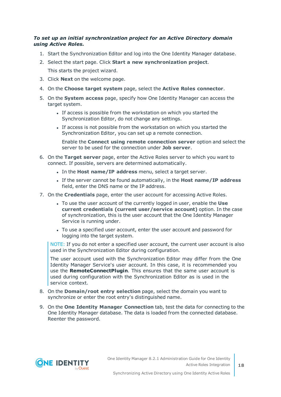#### *To set up an initial synchronization project for an Active Directory domain using Active Roles.*

- 1. Start the Synchronization Editor and log into the One Identity Manager database.
- 2. Select the start page. Click **Start a new synchronization project**.
	- This starts the project wizard.
- 3. Click **Next** on the welcome page.
- 4. On the **Choose target system** page, select the **Active Roles connector**.
- 5. On the **System access** page, specify how One Identity Manager can access the target system.
	- If access is possible from the workstation on which you started the Synchronization Editor, do not change any settings.
	- If access is not possible from the workstation on which you started the Synchronization Editor, you can set up a remote connection.

Enable the **Connect using remote connection server** option and select the server to be used for the connection under **Job server**.

- 6. On the **Target server** page, enter the Active Roles server to which you want to connect. If possible, servers are determined automatically.
	- <sup>l</sup> In the **Host name/IP address** menu, select a target server.
	- <sup>l</sup> If the server cannot be found automatically, in the **Host name/IP address** field, enter the DNS name or the IP address.
- 7. On the **Credentials** page, enter the user account for accessing Active Roles.
	- <sup>l</sup> To use the user account of the currently logged in user, enable the **Use current credentials (current user/service account)** option. In the case of synchronization, this is the user account that the One Identity Manager Service is running under.
	- To use a specified user account, enter the user account and password for logging into the target system.

NOTE: If you do not enter a specified user account, the current user account is also used in the Synchronization Editor during configuration.

The user account used with the Synchronization Editor may differ from the One Identity Manager Service's user account. In this case, it is recommended you use the **RemoteConnectPlugin**. This ensures that the same user account is used during configuration with the Synchronization Editor as is used in the service context.

- 8. On the **Domain/root entry selection** page, select the domain you want to synchronize or enter the root entry's distinguished name.
- 9. On the **One Identity Manager Connection** tab, test the data for connecting to the One Identity Manager database. The data is loaded from the connected database. Reenter the password.

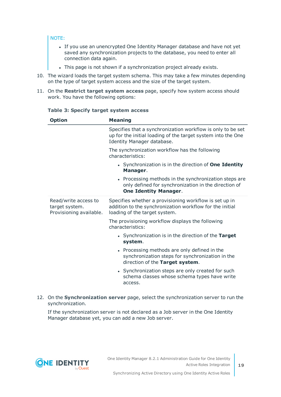#### NOTE:

- If you use an unencrypted One Identity Manager database and have not yet saved any synchronization projects to the database, you need to enter all connection data again.
- . This page is not shown if a synchronization project already exists.
- 10. The wizard loads the target system schema. This may take a few minutes depending on the type of target system access and the size of the target system.
- 11. On the **Restrict target system access** page, specify how system access should work. You have the following options:

| <b>Option</b>                                                     | <b>Meaning</b>                                                                                                                                            |
|-------------------------------------------------------------------|-----------------------------------------------------------------------------------------------------------------------------------------------------------|
|                                                                   | Specifies that a synchronization workflow is only to be set<br>up for the initial loading of the target system into the One<br>Identity Manager database. |
|                                                                   | The synchronization workflow has the following<br>characteristics:                                                                                        |
|                                                                   | • Synchronization is in the direction of <b>One Identity</b><br>Manager.                                                                                  |
|                                                                   | • Processing methods in the synchronization steps are<br>only defined for synchronization in the direction of<br><b>One Identity Manager.</b>             |
| Read/write access to<br>target system.<br>Provisioning available. | Specifies whether a provisioning workflow is set up in<br>addition to the synchronization workflow for the initial<br>loading of the target system.       |
|                                                                   | The provisioning workflow displays the following<br>characteristics:                                                                                      |
|                                                                   | • Synchronization is in the direction of the Target<br>system.                                                                                            |
|                                                                   | • Processing methods are only defined in the<br>synchronization steps for synchronization in the<br>direction of the Target system.                       |
|                                                                   | • Synchronization steps are only created for such<br>schema classes whose schema types have write<br>access.                                              |

#### **Table 3: Specify target system access**

12. On the **Synchronization server** page, select the synchronization server to run the synchronization.

If the synchronization server is not declared as a Job server in the One Identity Manager database yet, you can add a new Job server.



**19**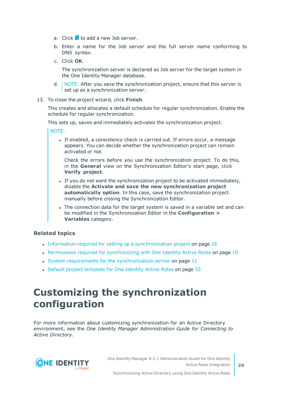- a. Click  $\mathbf{t}$  to add a new Job server.
- b. Enter a name for the Job server and the full server name conforming to DNS syntax.
- c. Click **OK**.

The synchronization server is declared as Job server for the target system in the One Identity Manager database.

- d. NOTE: After you save the synchronization project, ensure that this server is set up as a synchronization server.
- 13. To close the project wizard, click **Finish**.

This creates and allocates a default schedule for regular synchronization. Enable the schedule for regular synchronization.

This sets up, saves and immediately activates the synchronization project.

NOTE:

If enabled, a consistency check is carried out. If errors occur, a message appears. You can decide whether the synchronization project can remain activated or not.

Check the errors before you use the synchronization project. To do this, in the **General** view on the Synchronization Editor's start page, click **Verify project**.

- If you do not want the synchronization project to be activated immediately, disable the **Activate and save the new synchronization project automatically option**. In this case, save the synchronization project manually before closing the Synchronization Editor.
- The connection data for the target system is saved in a variable set and can be modified in the Synchronization Editor in the **Configuration > Variables** category.

#### **Related topics**

- Information required for setting up a [synchronization](#page-15-0) project on page 16
- Permissions required for [synchronizing](#page-9-0) with One Identity Active Roles on page 10
- System requirements for the [synchronization](#page-10-1) server on page  $11$
- Default project [template](#page-52-0) for One Identity Active Roles on page 53

### <span id="page-19-0"></span>**Customizing the synchronization configuration**

<span id="page-19-1"></span>For more information about customizing synchronization for an Active Directory environment, see the *One Identity Manager Administration Guide for Connecting to Active Directory*.

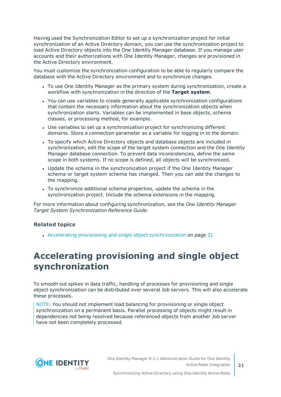Having used the Synchronization Editor to set up a synchronization project for initial synchronization of an Active Directory domain, you can use the synchronization project to load Active Directory objects into the One Identity Manager database. If you manage user accounts and their authorizations with One Identity Manager, changes are provisioned in the Active Directory environment.

You must customize the synchronization configuration to be able to regularly compare the database with the Active Directory environment and to synchronize changes.

- To use One Identity Manager as the primary system during synchronization, create a workflow with synchronization in the direction of the **Target system**.
- You can use variables to create generally applicable synchronization configurations that contain the necessary information about the synchronization objects when synchronization starts. Variables can be implemented in base objects, schema classes, or processing method, for example.
- Use variables to set up a synchronization project for synchronizing different domains. Store a connection parameter as a variable for logging in to the domain.
- To specify which Active Directory objects and database objects are included in synchronization, edit the scope of the target system connection and the One Identity Manager database connection. To prevent data inconsistencies, define the same scope in both systems. If no scope is defined, all objects will be synchronized.
- Update the schema in the synchronization project if the One Identity Manager schema or target system schema has changed. Then you can add the changes to the mapping.
- To synchronize additional schema properties, update the schema in the synchronization project. Include the schema extensions in the mapping.

For more information about configuring synchronization, see the *One Identity Manager Target System Synchronization Reference Guide*.

#### **Related topics**

• Accelerating provisioning and single object [synchronization](#page-20-0) on page 21

### <span id="page-20-0"></span>**Accelerating provisioning and single object synchronization**

To smooth out spikes in data traffic, handling of processes for provisioning and single object synchronization can be distributed over several Job servers. This will also accelerate these processes.

NOTE: You should not implement load balancing for provisioning or single object synchronization on a permanent basis. Parallel processing of objects might result in dependencies not being resolved because referenced objects from another Job server have not been completely processed.

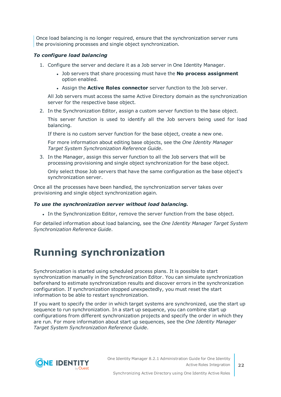Once load balancing is no longer required, ensure that the synchronization server runs the provisioning processes and single object synchronization.

#### *To configure load balancing*

- 1. Configure the server and declare it as a Job server in One Identity Manager.
	- <sup>l</sup> Job servers that share processing must have the **No process assignment** option enabled.
	- <sup>l</sup> Assign the **Active Roles connector** server function to the Job server.

All Job servers must access the same Active Directory domain as the synchronization server for the respective base object.

2. In the Synchronization Editor, assign a custom server function to the base object.

This server function is used to identify all the Job servers being used for load balancing.

If there is no custom server function for the base object, create a new one.

For more information about editing base objects, see the *One Identity Manager Target System Synchronization Reference Guide*.

3. In the Manager, assign this server function to all the Job servers that will be processing provisioning and single object synchronization for the base object.

Only select those Job servers that have the same configuration as the base object's synchronization server.

Once all the processes have been handled, the synchronization server takes over provisioning and single object synchronization again.

#### *To use the synchronization server without load balancing.*

• In the Synchronization Editor, remove the server function from the base object.

For detailed information about load balancing, see the *One Identity Manager Target System Synchronization Reference Guide*.

### <span id="page-21-0"></span>**Running synchronization**

Synchronization is started using scheduled process plans. It is possible to start synchronization manually in the Synchronization Editor. You can simulate synchronization beforehand to estimate synchronization results and discover errors in the synchronization configuration. If synchronization stopped unexpectedly, you must reset the start information to be able to restart synchronization.

If you want to specify the order in which target systems are synchronized, use the start up sequence to run synchronization. In a start up sequence, you can combine start up configurations from different synchronization projects and specify the order in which they are run. For more information about start up sequences, see the *One Identity Manager Target System Synchronization Reference Guide*.



Synchronizing Active Directory using One Identity Active Roles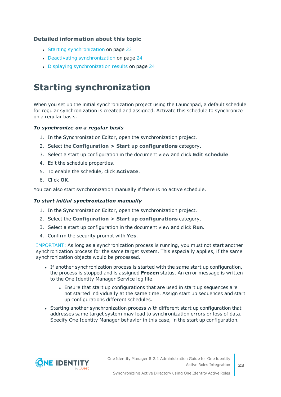#### **Detailed information about this topic**

- Starting [synchronization](#page-22-0) on page 23
- Deactivating [synchronization](#page-23-0) on page 24
- Displaying [synchronization](#page-23-1) results on page 24

### <span id="page-22-0"></span>**Starting synchronization**

When you set up the initial synchronization project using the Launchpad, a default schedule for regular synchronization is created and assigned. Activate this schedule to synchronize on a regular basis.

#### *To synchronize on a regular basis*

- 1. In the Synchronization Editor, open the synchronization project.
- 2. Select the **Configuration > Start up configurations** category.
- 3. Select a start up configuration in the document view and click **Edit schedule**.
- 4. Edit the schedule properties.
- 5. To enable the schedule, click **Activate**.
- 6. Click **OK**.

You can also start synchronization manually if there is no active schedule.

#### *To start initial synchronization manually*

- 1. In the Synchronization Editor, open the synchronization project.
- 2. Select the **Configuration > Start up configurations** category.
- 3. Select a start up configuration in the document view and click **Run**.
- 4. Confirm the security prompt with **Yes**.

IMPORTANT: As long as a synchronization process is running, you must not start another synchronization process for the same target system. This especially applies, if the same synchronization objects would be processed.

- If another synchronization process is started with the same start up configuration, the process is stopped and is assigned **Frozen** status. An error message is written to the One Identity Manager Service log file.
	- Ensure that start up configurations that are used in start up sequences are not started individually at the same time. Assign start up sequences and start up configurations different schedules.
- Starting another synchronization process with different start up configuration that addresses same target system may lead to synchronization errors or loss of data. Specify One Identity Manager behavior in this case, in the start up configuration.

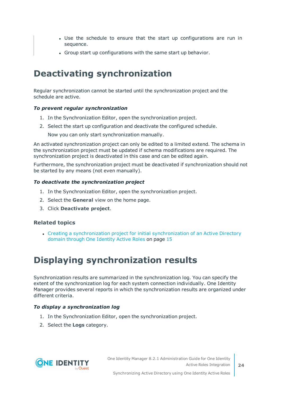- Use the schedule to ensure that the start up configurations are run in sequence.
- Group start up configurations with the same start up behavior.

### <span id="page-23-0"></span>**Deactivating synchronization**

Regular synchronization cannot be started until the synchronization project and the schedule are active.

#### *To prevent regular synchronization*

- 1. In the Synchronization Editor, open the synchronization project.
- 2. Select the start up configuration and deactivate the configured schedule.

Now you can only start synchronization manually.

An activated synchronization project can only be edited to a limited extend. The schema in the synchronization project must be updated if schema modifications are required. The synchronization project is deactivated in this case and can be edited again.

Furthermore, the synchronization project must be deactivated if synchronization should not be started by any means (not even manually).

#### *To deactivate the synchronization project*

- 1. In the Synchronization Editor, open the synchronization project.
- 2. Select the **General** view on the home page.
- 3. Click **Deactivate project**.

#### **Related topics**

• Creating a [synchronization](#page-14-0) project for initial synchronization of an Active Directory domain through One [Identity](#page-14-0) Active Roles on page 15

### <span id="page-23-1"></span>**Displaying synchronization results**

Synchronization results are summarized in the synchronization log. You can specify the extent of the synchronization log for each system connection individually. One Identity Manager provides several reports in which the synchronization results are organized under different criteria.

#### *To display a synchronization log*

- 1. In the Synchronization Editor, open the synchronization project.
- 2. Select the **Logs** category.

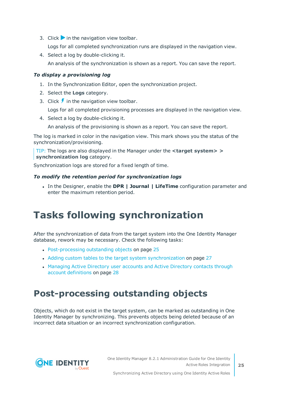- 3. Click  $\triangleright$  in the navigation view toolbar. Logs for all completed synchronization runs are displayed in the navigation view.
- 4. Select a log by double-clicking it. An analysis of the synchronization is shown as a report. You can save the report.

#### *To display a provisioning log*

- 1. In the Synchronization Editor, open the synchronization project.
- 2. Select the **Logs** category.
- 3. Click  $\overline{\smash{5}}$  in the navigation view toolbar.

Logs for all completed provisioning processes are displayed in the navigation view.

4. Select a log by double-clicking it.

An analysis of the provisioning is shown as a report. You can save the report.

The log is marked in color in the navigation view. This mark shows you the status of the synchronization/provisioning.

TIP: The logs are also displayed in the Manager under the **<target system> > synchronization log** category.

Synchronization logs are stored for a fixed length of time.

#### *To modify the retention period for synchronization logs*

<sup>l</sup> In the Designer, enable the **DPR | Journal | LifeTime** configuration parameter and enter the maximum retention period.

## <span id="page-24-0"></span>**Tasks following synchronization**

After the synchronization of data from the target system into the One Identity Manager database, rework may be necessary. Check the following tasks:

- [Post-processing](#page-24-1) outstanding objects on page 25
- Adding custom tables to the target system [synchronization](#page-26-0) on page 27
- [Managing](#page-27-0) Active Directory user accounts and Active Directory contacts through account [definitions](#page-27-0) on page 28

### <span id="page-24-1"></span>**Post-processing outstanding objects**

Objects, which do not exist in the target system, can be marked as outstanding in One Identity Manager by synchronizing. This prevents objects being deleted because of an incorrect data situation or an incorrect synchronization configuration.

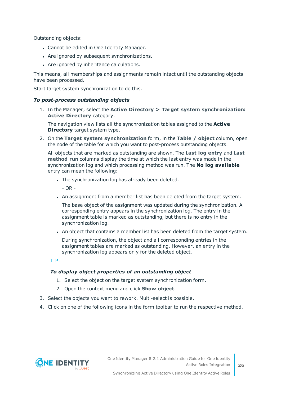Outstanding objects:

- Cannot be edited in One Identity Manager.
- Are ignored by subsequent synchronizations.
- Are ignored by inheritance calculations.

This means, all memberships and assignments remain intact until the outstanding objects have been processed.

Start target system synchronization to do this.

#### *To post-process outstanding objects*

1. In the Manager, select the **Active Directory > Target system synchronization: Active Directory** category.

The navigation view lists all the synchronization tables assigned to the **Active Directory** target system type.

2. On the **Target system synchronization** form, in the **Table / object** column, open the node of the table for which you want to post-process outstanding objects.

All objects that are marked as outstanding are shown. The **Last log entry** and **Last method run** columns display the time at which the last entry was made in the synchronization log and which processing method was run. The **No log available** entry can mean the following:

- The synchronization log has already been deleted.
	- $OR -$
- . An assignment from a member list has been deleted from the target system.

The base object of the assignment was updated during the synchronization. A corresponding entry appears in the synchronization log. The entry in the assignment table is marked as outstanding, but there is no entry in the synchronization log.

. An object that contains a member list has been deleted from the target system.

During synchronization, the object and all corresponding entries in the assignment tables are marked as outstanding. However, an entry in the synchronization log appears only for the deleted object.

TIP:

#### *To display object properties of an outstanding object*

- 1. Select the object on the target system synchronization form.
- 2. Open the context menu and click **Show object**.
- 3. Select the objects you want to rework. Multi-select is possible.
- 4. Click on one of the following icons in the form toolbar to run the respective method.

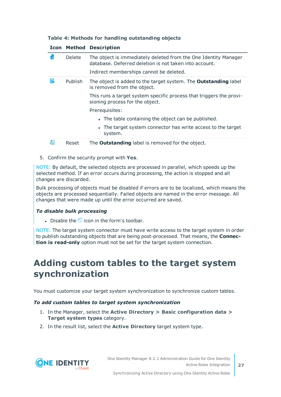#### **Table 4: Methods for handling outstanding objects**

|      |               | <b>Icon Method Description</b>                                                                                            |
|------|---------------|---------------------------------------------------------------------------------------------------------------------------|
| l xl | <b>Delete</b> | The object is immediately deleted from the One Identity Manager<br>database. Deferred deletion is not taken into account. |
|      |               | Indirect memberships cannot be deleted.                                                                                   |
| F    | Publish       | The object is added to the target system. The <b>Outstanding</b> label<br>is removed from the object.                     |
|      |               | This runs a target system specific process that triggers the provi-<br>sioning process for the object.                    |
|      |               | Prerequisites:                                                                                                            |
|      |               | • The table containing the object can be published.                                                                       |
|      |               | • The target system connector has write access to the target<br>system.                                                   |
| 51   | Reset         | The <b>Outstanding</b> label is removed for the object.                                                                   |

#### **Icon Method Description**

5. Confirm the security prompt with **Yes**.

NOTE: By default, the selected objects are processed in parallel, which speeds up the selected method. If an error occurs during processing, the action is stopped and all changes are discarded.

Bulk processing of objects must be disabled if errors are to be localized, which means the objects are processed sequentially. Failed objects are named in the error message. All changes that were made up until the error occurred are saved.

#### *To disable bulk processing*

Disable the  $\Box$  icon in the form's toolbar.

NOTE: The target system connector must have write access to the target system in order to publish outstanding objects that are being post-processed. That means, the **Connection is read-only** option must not be set for the target system connection.

### <span id="page-26-0"></span>**Adding custom tables to the target system synchronization**

You must customize your target system synchronization to synchronize custom tables.

#### *To add custom tables to target system synchronization*

- 1. In the Manager, select the **Active Directory > Basic configuration data > Target system types** category.
- 2. In the result list, select the **Active Directory** target system type.

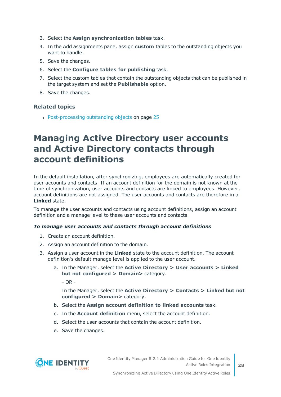- 3. Select the **Assign synchronization tables** task.
- 4. In the Add assignments pane, assign **custom** tables to the outstanding objects you want to handle.
- 5. Save the changes.
- 6. Select the **Configure tables for publishing** task.
- 7. Select the custom tables that contain the outstanding objects that can be published in the target system and set the **Publishable** option.
- 8. Save the changes.

#### **Related topics**

• [Post-processing](#page-24-1) outstanding objects on page 25

### <span id="page-27-0"></span>**Managing Active Directory user accounts and Active Directory contacts through account definitions**

In the default installation, after synchronizing, employees are automatically created for user accounts and contacts. If an account definition for the domain is not known at the time of synchronization, user accounts and contacts are linked to employees. However, account definitions are not assigned. The user accounts and contacts are therefore in a **Linked** state.

To manage the user accounts and contacts using account definitions, assign an account definition and a manage level to these user accounts and contacts.

#### *To manage user accounts and contacts through account definitions*

- 1. Create an account definition.
- 2. Assign an account definition to the domain.
- 3. Assign a user account in the **Linked** state to the account definition. The account definition's default manage level is applied to the user account.
	- a. In the Manager, select the **Active Directory > User accounts > Linked but not configured > Domain>** category.

 $- OR -$ 

In the Manager, select the **Active Directory > Contacts > Linked but not configured > Domain>** category.

- b. Select the **Assign account definition to linked accounts** task.
- c. In the **Account definition** menu, select the account definition.
- d. Select the user accounts that contain the account definition.
- e. Save the changes.

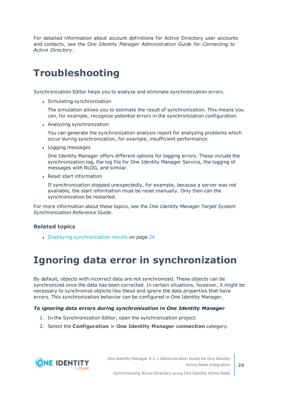For detailed information about account definitions for Active Directory user accounts and contacts, see the *One Identity Manager Administration Guide for Connecting to Active Directory*.

### <span id="page-28-0"></span>**Troubleshooting**

Synchronization Editor helps you to analyze and eliminate synchronization errors.

• Simulating synchronization

The simulation allows you to estimate the result of synchronization. This means you can, for example, recognize potential errors in the synchronization configuration.

• Analyzing synchronization

You can generate the synchronization analysis report for analyzing problems which occur during synchronization, for example, insufficient performance.

• Logging messages

One Identity Manager offers different options for logging errors. These include the synchronization log, the log file for One Identity Manager Service, the logging of messages with NLOG, and similar.

• Reset start information

If synchronization stopped unexpectedly, for example, because a server was not available, the start information must be reset manually. Only then can the synchronization be restarted.

For more information about these topics, see the *One Identity Manager Target System Synchronization Reference Guide*.

#### **Related topics**

<span id="page-28-1"></span>• Displaying [synchronization](#page-23-1) results on page 24

### **Ignoring data error in synchronization**

By default, objects with incorrect data are not synchronized. These objects can be synchronized once the data has been corrected. In certain situations, however, it might be necessary to synchronize objects like these and ignore the data properties that have errors. This synchronization behavior can be configured in One Identity Manager.

#### *To ignoring data errors during synchronization in One Identity Manager*

- 1. In the Synchronization Editor, open the synchronization project.
- 2. Select the **Configuration > One Identity Manager connection** category.

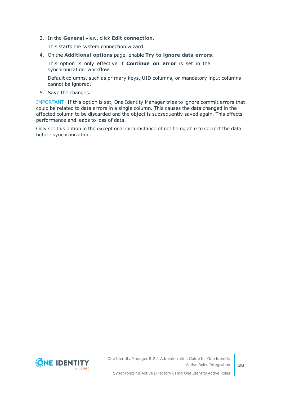3. In the **General** view, click **Edit connection**.

This starts the system connection wizard.

4. On the **Additional options** page, enable **Try to ignore data errors**.

This option is only effective if **Continue on error** is set in the synchronization workflow.

Default columns, such as primary keys, UID columns, or mandatory input columns cannot be ignored.

5. Save the changes.

IMPORTANT: If this option is set, One Identity Manager tries to ignore commit errors that could be related to data errors in a single column. This causes the data changed in the affected column to be discarded and the object is subsequently saved again. This effects performance and leads to loss of data.

Only set this option in the exceptional circumstance of not being able to correct the data before synchronization.

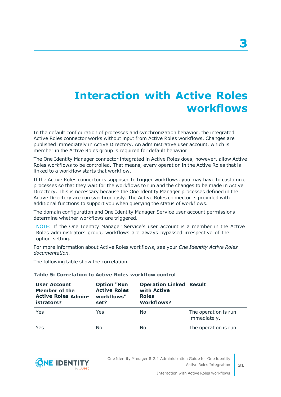## <span id="page-30-0"></span>**Interaction with Active Roles workflows**

In the default configuration of processes and synchronization behavior, the integrated Active Roles connector works without input from Active Roles workflows. Changes are published immediately in Active Directory. An administrative user account. which is member in the Active Roles group is required for default behavior.

The One Identity Manager connector integrated in Active Roles does, however, allow Active Roles workflows to be controlled. That means, every operation in the Active Roles that is linked to a workflow starts that workflow.

If the Active Roles connector is supposed to trigger workflows, you may have to customize processes so that they wait for the workflows to run and the changes to be made in Active Directory. This is necessary because the One Identity Manager processes defined in the Active Directory are run synchronously. The Active Roles connector is provided with additional functions to support you when querying the status of workflows.

The domain configuration and One Identity Manager Service user account permissions determine whether workflows are triggered.

NOTE: If the One Identity Manager Service's user account is a member in the Active Roles administrators group, workflows are always bypassed irrespective of the option setting.

For more information about Active Roles workflows, see your *One Identity Active Roles documentation*.

The following table show the correlation.

#### **Table 5: Correlation to Active Roles workflow control**

| <b>User Account</b><br>Member of the<br><b>Active Roles Admin-</b><br>istrators? | <b>Option "Run</b><br><b>Active Roles</b><br>workflows"<br>set? | <b>Operation Linked Result</b><br>with Active<br><b>Roles</b><br><b>Workflows?</b> |                                      |
|----------------------------------------------------------------------------------|-----------------------------------------------------------------|------------------------------------------------------------------------------------|--------------------------------------|
| Yes                                                                              | Yes                                                             | No.                                                                                | The operation is run<br>immediately. |
| Yes                                                                              | No                                                              | No.                                                                                | The operation is run                 |



One Identity Manager 8.2.1 Administration Guide for One Identity Active Roles Integration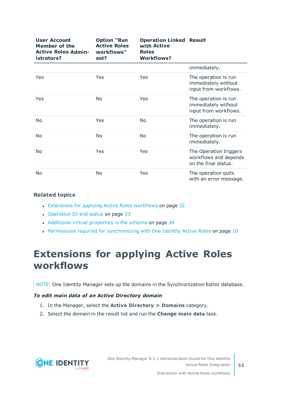| <b>User Account</b><br><b>Member of the</b><br><b>Active Roles Admin-</b><br>istrators? | <b>Option "Run</b><br><b>Active Roles</b><br>workflows"<br>set? | <b>Operation Linked Result</b><br>with Active<br><b>Roles</b><br><b>Workflows?</b> |                                                                         |
|-----------------------------------------------------------------------------------------|-----------------------------------------------------------------|------------------------------------------------------------------------------------|-------------------------------------------------------------------------|
|                                                                                         |                                                                 |                                                                                    | immediately.                                                            |
| Yes                                                                                     | Yes                                                             | Yes                                                                                | The operation is run<br>immediately without<br>input from workflows.    |
| Yes                                                                                     | No                                                              | Yes                                                                                | The operation is run<br>immediately without<br>input from workflows.    |
| No                                                                                      | Yes                                                             | No                                                                                 | The operation is run<br>immediately.                                    |
| No                                                                                      | No                                                              | No                                                                                 | The operation is run<br>immediately.                                    |
| No                                                                                      | Yes                                                             | Yes                                                                                | The Operation triggers<br>workflows and depends<br>on the final status. |
| No                                                                                      | <b>No</b>                                                       | Yes                                                                                | The operation quits<br>with an error message.                           |

#### **Related topics**

- [Extensions](#page-31-0) for applying Active Roles workflows on page 32
- [Operation](#page-32-0) ID and status on page 33
- Additional virtual [properties](#page-33-0) in the schema on page 34
- Permissions required for [synchronizing](#page-9-0) with One Identity Active Roles on page 10

## <span id="page-31-0"></span>**Extensions for applying Active Roles workflows**

NOTE: One Identity Manager sets up the domains in the Synchronization Editor database.

#### *To edit main data of an Active Directory domain*

- 1. In the Manager, select the **Active Directory > Domains** category.
- 2. Select the domain in the result list and run the **Change main data** task.

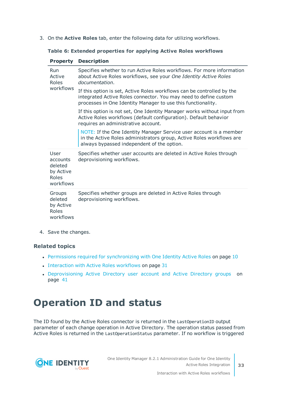3. On the **Active Roles** tab, enter the following data for utilizing workflows.

|  |  |  |  |  |  |  | Table 6: Extended properties for applying Active Roles workflows |
|--|--|--|--|--|--|--|------------------------------------------------------------------|
|--|--|--|--|--|--|--|------------------------------------------------------------------|

| <b>Property</b>                                                | <b>Description</b>                                                                                                                                                                                         |
|----------------------------------------------------------------|------------------------------------------------------------------------------------------------------------------------------------------------------------------------------------------------------------|
| Run<br>Active<br>Roles                                         | Specifies whether to run Active Roles workflows. For more information<br>about Active Roles workflows, see your One Identity Active Roles<br>documentation.                                                |
| workflows                                                      | If this option is set, Active Roles workflows can be controlled by the<br>integrated Active Roles connector. You may need to define custom<br>processes in One Identity Manager to use this functionality. |
|                                                                | If this option is not set, One Identity Manager works without input from<br>Active Roles workflows (default configuration). Default behavior<br>requires an administrative account.                        |
|                                                                | NOTE: If the One Identity Manager Service user account is a member<br>in the Active Roles administrators group, Active Roles workflows are<br>always bypassed independent of the option.                   |
| User<br>accounts<br>deleted<br>by Active<br>Roles<br>workflows | Specifies whether user accounts are deleted in Active Roles through<br>deprovisioning workflows.                                                                                                           |
| Groups<br>deleted<br>by Active<br>Roles<br>workflows           | Specifies whether groups are deleted in Active Roles through<br>deprovisioning workflows.                                                                                                                  |

4. Save the changes.

#### **Related topics**

- Permissions required for [synchronizing](#page-9-0) with One Identity Active Roles on page 10
- $\bullet$  [Interaction](#page-30-0) with Active Roles workflows on page 31
- [Deprovisioning](#page-40-0) Active Directory user account and Active Directory groups on [page](#page-40-0) 41

### <span id="page-32-0"></span>**Operation ID and status**

The ID found by the Active Roles connector is returned in the LastOperationID output parameter of each change operation in Active Directory. The operation status passed from Active Roles is returned in the LastOperationStatus parameter. If no workflow is triggered

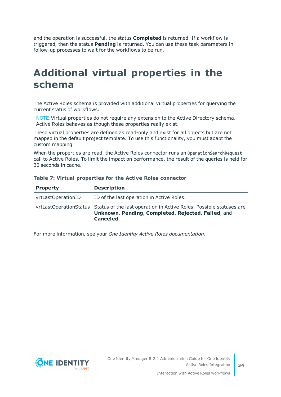and the operation is successful, the status **Completed** is returned. If a workflow is triggered, then the status **Pending** is returned. You can use these task parameters in follow-up processes to wait for the workflows to be run.

### <span id="page-33-0"></span>**Additional virtual properties in the schema**

The Active Roles schema is provided with additional virtual properties for querying the current status of workflows.

NOTE:Virtual properties do not require any extension to the Active Directory schema. Active Roles behaves as though these properties really exist.

These virtual properties are defined as read-only and exist for all objects but are not mapped in the default project template. To use this functionality, you must adapt the custom mapping.

When the properties are read, the Active Roles connector runs an OperationSearchRequest call to Active Roles. To limit the impact on performance, the result of the queries is held for 30 seconds in cache.

| <b>Property</b>    | <b>Description</b>                                                                                                                                            |
|--------------------|---------------------------------------------------------------------------------------------------------------------------------------------------------------|
| vrtLastOperationID | ID of the last operation in Active Roles.                                                                                                                     |
|                    | vrtLastOperationStatus Status of the last operation in Active Roles. Possible statuses are<br>Unknown, Pending, Completed, Rejected, Failed, and<br>Canceled. |

#### **Table 7: Virtual properties for the Active Roles connector**

For more information, see your *One Identity Active Roles documentation*.

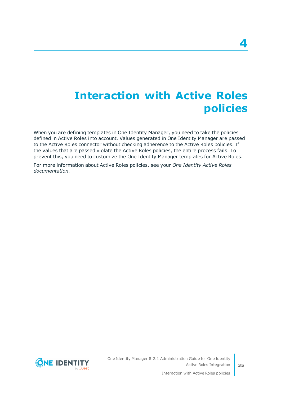## <span id="page-34-0"></span>**Interaction with Active Roles policies**

When you are defining templates in One Identity Manager, you need to take the policies defined in Active Roles into account. Values generated in One Identity Manager are passed to the Active Roles connector without checking adherence to the Active Roles policies. If the values that are passed violate the Active Roles policies, the entire process fails. To prevent this, you need to customize the One Identity Manager templates for Active Roles.

For more information about Active Roles policies, see your *One Identity Active Roles documentation*.

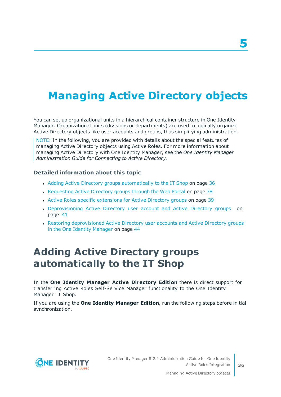## <span id="page-35-0"></span>**Managing Active Directory objects**

You can set up organizational units in a hierarchical container structure in One Identity Manager. Organizational units (divisions or departments) are used to logically organize Active Directory objects like user accounts and groups, thus simplifying administration.

NOTE: In the following, you are provided with details about the special features of managing Active Directory objects using Active Roles. For more information about managing Active Directory with One Identity Manager, see the *One Identity Manager Administration Guide for Connecting to Active Directory*.

#### **Detailed information about this topic**

- Adding Active Directory groups [automatically](#page-35-1) to the IT Shop on page 36
- [Requesting](#page-37-0) Active Directory groups through the Web Portal on page 38
- Active Roles specific [extensions](#page-38-0) for Active Directory groups on page 39
- [Deprovisioning](#page-40-0) Active Directory user account and Active Directory groups on [page](#page-40-0) 41
- Restoring [deprovisioned](#page-43-0) Active Directory user accounts and Active Directory groups in the One Identity [Manager](#page-43-0) on page 44

### <span id="page-35-1"></span>**Adding Active Directory groups automatically to the IT Shop**

In the **One Identity Manager Active Directory Edition** there is direct support for transferring Active Roles Self-Service Manager functionality to the One Identity Manager IT Shop.

If you are using the **One Identity Manager Edition**, run the following steps before initial synchronization.

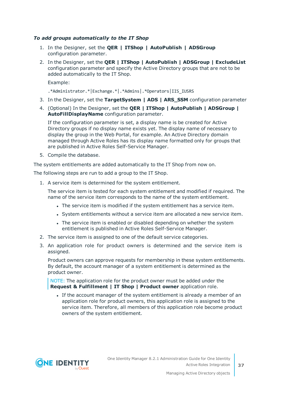#### *To add groups automatically to the IT Shop*

- 1. In the Designer, set the **QER | ITShop | AutoPublish | ADSGroup** configuration parameter.
- 2. In the Designer, set the **QER | ITShop | AutoPublish | ADSGroup | ExcludeList** configuration parameter and specify the Active Directory groups that are not to be added automatically to the IT Shop.

Example:

- .\*Administrator.\*|Exchange.\*|.\*Admins|.\*Operators|IIS\_IUSRS
- 3. In the Designer, set the **TargetSystem | ADS | ARS\_SSM** configuration parameter
- 4. (Optional) In the Designer, set the **QER | ITShop | AutoPublish | ADSGroup | AutoFillDisplayName** configuration parameter.

If the configuration parameter is set, a display name is be created for Active Directory groups if no display name exists yet. The display name of necessary to display the group in the Web Portal, for example. An Active Directory domain managed through Active Roles has its display name formatted only for groups that are published in Active Roles Self-Service Manager.

5. Compile the database.

The system entitlements are added automatically to the IT Shop from now on.

The following steps are run to add a group to the IT Shop.

1. A service item is determined for the system entitlement.

The service item is tested for each system entitlement and modified if required. The name of the service item corresponds to the name of the system entitlement.

- The service item is modified if the system entitlement has a service item.
- System entitlements without a service item are allocated a new service item.
- The service item is enabled or disabled depending on whether the system entitlement is published in Active Roles Self-Service Manager.
- 2. The service item is assigned to one of the default service categories.
- 3. An application role for product owners is determined and the service item is assigned.

Product owners can approve requests for membership in these system entitlements. By default, the account manager of a system entitlement is determined as the product owner.

NOTE: The application role for the product owner must be added under the **Request & Fulfillment | IT Shop | Product owner** application role.

If the account manager of the system entitlement is already a member of an application role for product owners, this application role is assigned to the service item. Therefore, all members of this application role become product owners of the system entitlement.

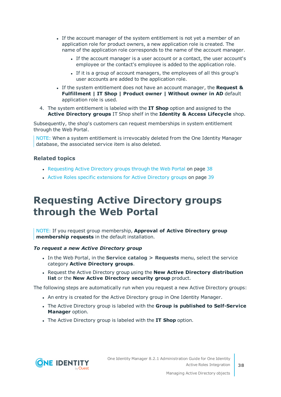- If the account manager of the system entitlement is not yet a member of an application role for product owners, a new application role is created. The name of the application role corresponds to the name of the account manager.
	- If the account manager is a user account or a contact, the user account's employee or the contact's employee is added to the application role.
	- If it is a group of account managers, the employees of all this group's user accounts are added to the application role.
- <sup>l</sup> If the system entitlement does not have an account manager, the **Request & Fulfillment | IT Shop | Product owner | Without owner in AD** default application role is used.
- 4. The system entitlement is labeled with the **IT Shop** option and assigned to the **Active Directory groups** IT Shop shelf in the **Identity & Access Lifecycle** shop.

Subsequently, the shop's customers can request memberships in system entitlement through the Web Portal.

NOTE: When a system entitlement is irrevocably deleted from the One Identity Manager database, the associated service item is also deleted.

#### **Related topics**

- [Requesting](#page-37-0) Active Directory groups through the Web Portal on page 38
- Active Roles specific [extensions](#page-38-0) for Active Directory groups on page 39

### <span id="page-37-0"></span>**Requesting Active Directory groups through the Web Portal**

NOTE: If you request group membership, **Approval of Active Directory group membership requests** in the default installation.

#### *To request a new Active Directory group*

- <sup>l</sup> In the Web Portal, in the **Service catalog > Requests** menu, select the service category **Active Directory groups**.
- <sup>l</sup> Request the Active Directory group using the **New Active Directory distribution list** or the **New Active Directory security group** product.

The following steps are automatically run when you request a new Active Directory groups:

- An entry is created for the Active Directory group in One Identity Manager.
- <sup>l</sup> The Active Directory group is labeled with the **Group is published to Self-Service Manager** option.
- **.** The Active Directory group is labeled with the **IT Shop** option.

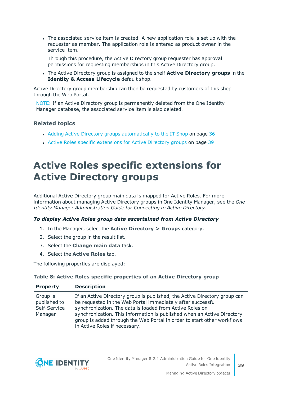The associated service item is created. A new application role is set up with the requester as member. The application role is entered as product owner in the service item.

Through this procedure, the Active Directory group requester has approval permissions for requesting memberships in this Active Directory group.

<sup>l</sup> The Active Directory group is assigned to the shelf **Active Directory groups** in the **Identity & Access Lifecycle** default shop.

Active Directory group membership can then be requested by customers of this shop through the Web Portal.

NOTE: If an Active Directory group is permanently deleted from the One Identity Manager database, the associated service item is also deleted.

#### **Related topics**

- Adding Active Directory groups [automatically](#page-35-1) to the IT Shop on page 36
- <span id="page-38-0"></span>• Active Roles specific [extensions](#page-38-0) for Active Directory groups on page 39

## **Active Roles specific extensions for Active Directory groups**

Additional Active Directory group main data is mapped for Active Roles. For more information about managing Active Directory groups in One Identity Manager, see the *One Identity Manager Administration Guide for Connecting to Active Directory*.

#### *To display Active Roles group data ascertained from Active Directory*

- 1. In the Manager, select the **Active Directory > Groups** category.
- 2. Select the group in the result list.
- 3. Select the **Change main data** task.
- 4. Select the **Active Roles** tab.

The following properties are displayed:

#### **Table 8: Active Roles specific properties of an Active Directory group**

| <b>Property</b>                                     | <b>Description</b>                                                                                                                                                                                                                                                                                                                                                                          |
|-----------------------------------------------------|---------------------------------------------------------------------------------------------------------------------------------------------------------------------------------------------------------------------------------------------------------------------------------------------------------------------------------------------------------------------------------------------|
| Group is<br>published to<br>Self-Service<br>Manager | If an Active Directory group is published, the Active Directory group can<br>be requested in the Web Portal immediately after successful<br>synchronization. The data is loaded from Active Roles on<br>synchronization. This information is published when an Active Directory<br>group is added through the Web Portal in order to start other workflows<br>in Active Roles if necessary. |

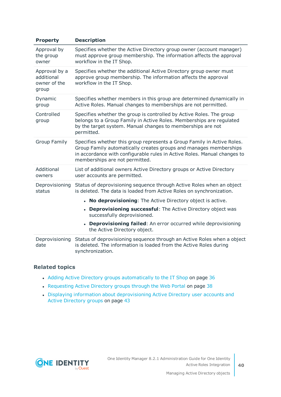| <b>Property</b>                                      | <b>Description</b>                                                                                                                                                                                                                                         |
|------------------------------------------------------|------------------------------------------------------------------------------------------------------------------------------------------------------------------------------------------------------------------------------------------------------------|
| Approval by<br>the group<br>owner                    | Specifies whether the Active Directory group owner (account manager)<br>must approve group membership. The information affects the approval<br>workflow in the IT Shop.                                                                                    |
| Approval by a<br>additional<br>owner of the<br>group | Specifies whether the additional Active Directory group owner must<br>approve group membership. The information affects the approval<br>workflow in the IT Shop.                                                                                           |
| Dynamic<br>group                                     | Specifies whether members in this group are determined dynamically in<br>Active Roles. Manual changes to memberships are not permitted.                                                                                                                    |
| Controlled<br>group                                  | Specifies whether the group is controlled by Active Roles. The group<br>belongs to a Group Family in Active Roles. Memberships are regulated<br>by the target system. Manual changes to memberships are not<br>permitted.                                  |
| <b>Group Family</b>                                  | Specifies whether this group represents a Group Family in Active Roles.<br>Group Family automatically creates groups and manages memberships<br>in accordance with configurable rules in Active Roles. Manual changes to<br>memberships are not permitted. |
| Additional<br>owners                                 | List of additional owners Active Directory groups or Active Directory<br>user accounts are permitted.                                                                                                                                                      |
| Deprovisioning<br>status                             | Status of deprovisioning sequence through Active Roles when an object<br>is deleted. The data is loaded from Active Roles on synchronization.                                                                                                              |
|                                                      | • No deprovisioning: The Active Directory object is active.                                                                                                                                                                                                |
|                                                      | <b>Deprovisioning successful:</b> The Active Directory object was<br>successfully deprovisioned.                                                                                                                                                           |
|                                                      | <b>Deprovisioning failed:</b> An error occurred while deprovisioning<br>the Active Directory object.                                                                                                                                                       |
| Deprovisioning<br>date                               | Status of deprovisioning sequence through an Active Roles when a object<br>is deleted. The information is loaded from the Active Roles during<br>synchronization.                                                                                          |

#### **Related topics**

- Adding Active Directory groups [automatically](#page-35-1) to the IT Shop on page 36
- [Requesting](#page-37-0) Active Directory groups through the Web Portal on page 38
- Displaying information about [deprovisioning](#page-42-0) Active Directory user accounts and Active [Directory](#page-42-0) groups on page 43

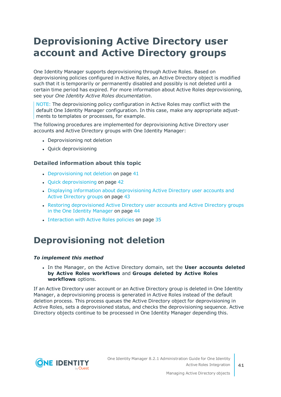## <span id="page-40-0"></span>**Deprovisioning Active Directory user account and Active Directory groups**

One Identity Manager supports deprovisioning through Active Roles. Based on deprovisioning policies configured in Active Roles, an Active Directory object is modified such that it is temporarily or permanently disabled and possibly is not deleted until a certain time period has expired. For more information about Active Roles deprovisioning, see your *One Identity Active Roles documentation*.

NOTE: The deprovisioning policy configuration in Active Roles may conflict with the default One Identity Manager configuration. In this case, make any appropriate adjustments to templates or processes, for example.

The following procedures are implemented for deprovisioning Active Directory user accounts and Active Directory groups with One Identity Manager:

- Deprovisioning not deletion
- Ouick deprovisioning

#### **Detailed information about this topic**

- $\bullet$  [Deprovisioning](#page-40-1) not deletion on page 41
- Quick [deprovisioning](#page-41-0) on page 42
- Displaying information about [deprovisioning](#page-42-0) Active Directory user accounts and Active [Directory](#page-42-0) groups on page 43
- Restoring [deprovisioned](#page-43-0) Active Directory user accounts and Active Directory groups in the One Identity [Manager](#page-43-0) on page 44
- [Interaction](#page-34-0) with Active Roles policies on page 35

### <span id="page-40-1"></span>**Deprovisioning not deletion**

#### *To implement this method*

<sup>l</sup> In the Manager, on the Active Directory domain, set the **User accounts deleted by Active Roles workflows** and **Groups deleted by Active Roles workflows** options.

If an Active Directory user account or an Active Directory group is deleted in One Identity Manager, a deprovisioning process is generated in Active Roles instead of the default deletion process. This process queues the Active Directory object for deprovisioning in Active Roles, sets a deprovisioned status, and checks the deprovisioning sequence. Active Directory objects continue to be processed in One Identity Manager depending this.



One Identity Manager 8.2.1 Administration Guide for One Identity Active Roles Integration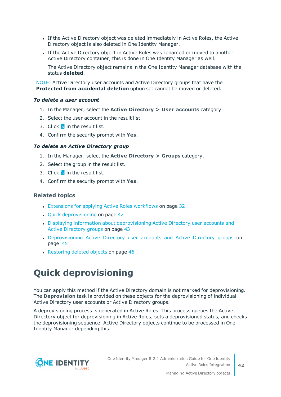- If the Active Directory object was deleted immediately in Active Roles, the Active Directory object is also deleted in One Identity Manager.
- If the Active Directory object in Active Roles was renamed or moved to another Active Directory container, this is done in One Identity Manager as well.

The Active Directory object remains in the One Identity Manager database with the status **deleted**.

NOTE: Active Directory user accounts and Active Directory groups that have the **Protected from accidental deletion** option set cannot be moved or deleted.

#### *To delete a user account*

- 1. In the Manager, select the **Active Directory > User accounts** category.
- 2. Select the user account in the result list.
- 3. Click  $\mathbf{\hat{x}}$  in the result list.
- 4. Confirm the security prompt with **Yes**.

#### *To delete an Active Directory group*

- 1. In the Manager, select the **Active Directory > Groups** category.
- 2. Select the group in the result list.
- 3. Click  $\frac{1}{2}$  in the result list.
- 4. Confirm the security prompt with **Yes**.

#### **Related topics**

- [Extensions](#page-31-0) for applying Active Roles workflows on page 32
- $\cdot$  Quick [deprovisioning](#page-41-0) on page 42
- Displaying information about [deprovisioning](#page-42-0) Active Directory user accounts and Active [Directory](#page-42-0) groups on page 43
- [Deprovisioning](#page-44-0) Active Directory user accounts and Active Directory groups on [page](#page-44-0) 45
- $\cdot$  [Restoring](#page-45-0) deleted objects on page 46

### <span id="page-41-0"></span>**Quick deprovisioning**

You can apply this method if the Active Directory domain is not marked for deprovisioning. The **Deprovision** task is provided on these objects for the deprovisioning of individual Active Directory user accounts or Active Directory groups.

A deprovisioning process is generated in Active Roles. This process queues the Active Directory object for deprovisioning in Active Roles, sets a deprovisioned status, and checks the deprovisioning sequence. Active Directory objects continue to be processed in One Identity Manager depending this.

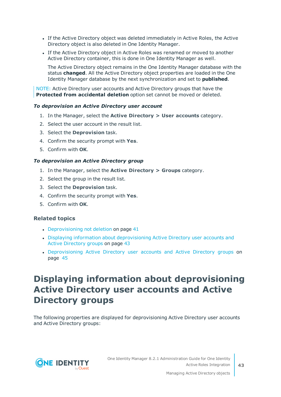- <sup>l</sup> If the Active Directory object was deleted immediately in Active Roles, the Active Directory object is also deleted in One Identity Manager.
- If the Active Directory object in Active Roles was renamed or moved to another Active Directory container, this is done in One Identity Manager as well.

The Active Directory object remains in the One Identity Manager database with the status **changed**. All the Active Directory object properties are loaded in the One Identity Manager database by the next synchronization and set to **published**.

NOTE: Active Directory user accounts and Active Directory groups that have the **Protected from accidental deletion** option set cannot be moved or deleted.

#### *To deprovision an Active Directory user account*

- 1. In the Manager, select the **Active Directory > User accounts** category.
- 2. Select the user account in the result list.
- 3. Select the **Deprovision** task.
- 4. Confirm the security prompt with **Yes**.
- 5. Confirm with **OK**.

#### *To deprovision an Active Directory group*

- 1. In the Manager, select the **Active Directory > Groups** category.
- 2. Select the group in the result list.
- 3. Select the **Deprovision** task.
- 4. Confirm the security prompt with **Yes**.
- 5. Confirm with **OK**.

#### **Related topics**

- $\bullet$  [Deprovisioning](#page-40-1) not deletion on page 41
- Displaying information about [deprovisioning](#page-42-0) Active Directory user accounts and Active [Directory](#page-42-0) groups on page 43
- [Deprovisioning](#page-44-0) Active Directory user accounts and Active Directory groups on [page](#page-44-0) 45

### <span id="page-42-0"></span>**Displaying information about deprovisioning Active Directory user accounts and Active Directory groups**

The following properties are displayed for deprovisioning Active Directory user accounts and Active Directory groups:

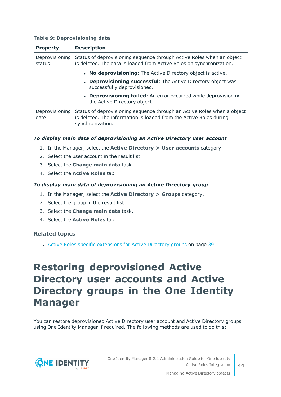#### **Table 9: Deprovisioning data**

| <b>Property</b>          | <b>Description</b>                                                                                                                                                |
|--------------------------|-------------------------------------------------------------------------------------------------------------------------------------------------------------------|
| Deprovisioning<br>status | Status of deprovisioning sequence through Active Roles when an object<br>is deleted. The data is loaded from Active Roles on synchronization.                     |
|                          | • No deprovisioning: The Active Directory object is active.                                                                                                       |
|                          | • Deprovisioning successful: The Active Directory object was<br>successfully deprovisioned.                                                                       |
|                          | • Deprovisioning failed: An error occurred while deprovisioning<br>the Active Directory object.                                                                   |
| Deprovisioning<br>date   | Status of deprovisioning sequence through an Active Roles when a object<br>is deleted. The information is loaded from the Active Roles during<br>synchronization. |

#### *To display main data of deprovisioning an Active Directory user account*

- 1. In the Manager, select the **Active Directory > User accounts** category.
- 2. Select the user account in the result list.
- 3. Select the **Change main data** task.
- 4. Select the **Active Roles** tab.

#### *To display main data of deprovisioning an Active Directory group*

- 1. In the Manager, select the **Active Directory > Groups** category.
- 2. Select the group in the result list.
- 3. Select the **Change main data** task.
- 4. Select the **Active Roles** tab.

#### **Related topics**

• Active Roles specific [extensions](#page-38-0) for Active Directory groups on page 39

### <span id="page-43-0"></span>**Restoring deprovisioned Active Directory user accounts and Active Directory groups in the One Identity Manager**

You can restore deprovisioned Active Directory user account and Active Directory groups using One Identity Manager if required. The following methods are used to do this:

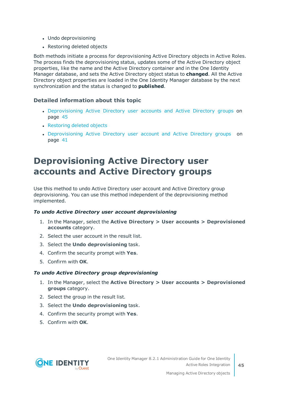- Undo deprovisioning
- Restoring deleted objects

Both methods initiate a process for deprovisioning Active Directory objects in Active Roles. The process finds the deprovisioning status, updates some of the Active Directory object properties, like the name and the Active Directory container and in the One Identity Manager database, and sets the Active Directory object status to **changed**. All the Active Directory object properties are loaded in the One Identity Manager database by the next synchronization and the status is changed to **published**.

#### **Detailed information about this topic**

- [Deprovisioning](#page-44-0) Active Directory user accounts and Active Directory groups on [page](#page-44-0) 45
- [Restoring](#page-45-0) deleted objects
- [Deprovisioning](#page-40-0) Active Directory user account and Active Directory groups on [page](#page-40-0) 41

### <span id="page-44-0"></span>**Deprovisioning Active Directory user accounts and Active Directory groups**

Use this method to undo Active Directory user account and Active Directory group deprovisioning. You can use this method independent of the deprovisioning method implemented.

#### *To undo Active Directory user account deprovisioning*

- 1. In the Manager, select the **Active Directory > User accounts > Deprovisioned accounts** category.
- 2. Select the user account in the result list.
- 3. Select the **Undo deprovisioning** task.
- 4. Confirm the security prompt with **Yes**.
- 5. Confirm with **OK**.

#### *To undo Active Directory group deprovisioning*

- 1. In the Manager, select the **Active Directory > User accounts > Deprovisioned groups** category.
- 2. Select the group in the result list.
- 3. Select the **Undo deprovisioning** task.
- 4. Confirm the security prompt with **Yes**.
- 5. Confirm with **OK**.

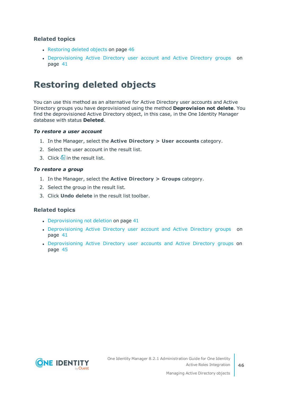#### **Related topics**

- $\cdot$  [Restoring](#page-45-0) deleted objects on page 46
- [Deprovisioning](#page-40-0) Active Directory user account and Active Directory groups on [page](#page-40-0) 41

### <span id="page-45-0"></span>**Restoring deleted objects**

You can use this method as an alternative for Active Directory user accounts and Active Directory groups you have deprovisioned using the method **Deprovision not delete**. You find the deprovisioned Active Directory object, in this case, in the One Identity Manager database with status **Deleted**.

#### *To restore a user account*

- 1. In the Manager, select the **Active Directory > User accounts** category.
- 2. Select the user account in the result list.
- 3. Click  $\frac{1}{2}$  in the result list.

#### *To restore a group*

- 1. In the Manager, select the **Active Directory > Groups** category.
- 2. Select the group in the result list.
- 3. Click **Undo delete** in the result list toolbar.

#### **Related topics**

- $\bullet$  [Deprovisioning](#page-40-1) not deletion on page 41
- [Deprovisioning](#page-40-0) Active Directory user account and Active Directory groups on [page](#page-40-0) 41
- [Deprovisioning](#page-44-0) Active Directory user accounts and Active Directory groups on [page](#page-44-0) 45

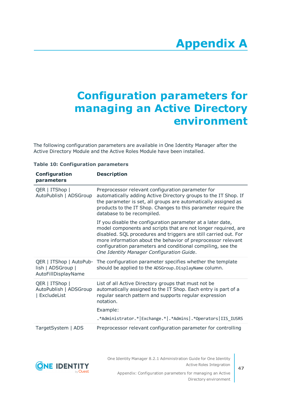# **Appendix A**

# <span id="page-46-0"></span>**Appendix:Configuration parameters for managing an Active Directory environment**

The following configuration parameters are available in One Identity Manager after the Active Directory Module and the Active Roles Module have been installed.

| Configuration<br>parameters                                         | <b>Description</b>                                                                                                                                                                                                                                                                                                                                                            |
|---------------------------------------------------------------------|-------------------------------------------------------------------------------------------------------------------------------------------------------------------------------------------------------------------------------------------------------------------------------------------------------------------------------------------------------------------------------|
| QER   ITShop  <br>AutoPublish   ADSGroup                            | Preprocessor relevant configuration parameter for<br>automatically adding Active Directory groups to the IT Shop. If<br>the parameter is set, all groups are automatically assigned as<br>products to the IT Shop. Changes to this parameter require the<br>database to be recompiled.                                                                                        |
|                                                                     | If you disable the configuration parameter at a later date,<br>model components and scripts that are not longer required, are<br>disabled. SQL procedures and triggers are still carried out. For<br>more information about the behavior of preprocessor relevant<br>configuration parameters and conditional compiling, see the<br>One Identity Manager Configuration Guide. |
| QER   ITShop   AutoPub-<br>lish   ADSGroup  <br>AutoFillDisplayName | The configuration parameter specifies whether the template<br>should be applied to the ADSGroup. DisplayName column.                                                                                                                                                                                                                                                          |
| QER   ITShop  <br>AutoPublish   ADSGroup<br>  ExcludeList           | List of all Active Directory groups that must not be<br>automatically assigned to the IT Shop. Each entry is part of a<br>regular search pattern and supports regular expression<br>notation.                                                                                                                                                                                 |
|                                                                     | Example:                                                                                                                                                                                                                                                                                                                                                                      |
|                                                                     | .*Administrator.* Exchange.* .*Admins .*Operators IIS_IUSRS                                                                                                                                                                                                                                                                                                                   |
| TargetSystem   ADS                                                  | Preprocessor relevant configuration parameter for controlling                                                                                                                                                                                                                                                                                                                 |

#### **Table 10: Configuration parameters**



One Identity Manager 8.2.1 Administration Guide for One Identity Active Roles Integration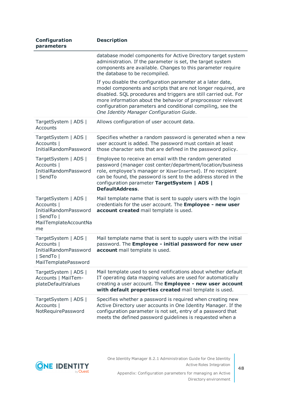| Configuration<br>parameters                                                                                     | <b>Description</b>                                                                                                                                                                                                                                                                                                                                                            |
|-----------------------------------------------------------------------------------------------------------------|-------------------------------------------------------------------------------------------------------------------------------------------------------------------------------------------------------------------------------------------------------------------------------------------------------------------------------------------------------------------------------|
|                                                                                                                 | database model components for Active Directory target system<br>administration. If the parameter is set, the target system<br>components are available. Changes to this parameter require<br>the database to be recompiled.                                                                                                                                                   |
|                                                                                                                 | If you disable the configuration parameter at a later date,<br>model components and scripts that are not longer required, are<br>disabled. SQL procedures and triggers are still carried out. For<br>more information about the behavior of preprocessor relevant<br>configuration parameters and conditional compiling, see the<br>One Identity Manager Configuration Guide. |
| TargetSystem   ADS  <br>Accounts                                                                                | Allows configuration of user account data.                                                                                                                                                                                                                                                                                                                                    |
| TargetSystem   ADS  <br>Accounts  <br><b>InitialRandomPassword</b>                                              | Specifies whether a random password is generated when a new<br>user account is added. The password must contain at least<br>those character sets that are defined in the password policy.                                                                                                                                                                                     |
| TargetSystem   ADS  <br>Accounts  <br><b>InitialRandomPassword</b><br>  SendTo                                  | Employee to receive an email with the random generated<br>password (manager cost center/department/location/business<br>role, employee's manager or XUserInserted). If no recipient<br>can be found, the password is sent to the address stored in the<br>configuration parameter TargetSystem   ADS  <br><b>DefaultAddress.</b>                                              |
| TargetSystem   ADS  <br>Accounts  <br><b>InitialRandomPassword</b><br>  SendTo  <br>MailTemplateAccountNa<br>me | Mail template name that is sent to supply users with the login<br>credentials for the user account. The Employee - new user<br>account created mail template is used.                                                                                                                                                                                                         |
| TargetSystem   ADS  <br>Accounts  <br><b>InitialRandomPassword</b><br>  SendTo  <br>MailTemplatePassword        | Mail template name that is sent to supply users with the initial<br>password. The Employee - initial password for new user<br>account mail template is used.                                                                                                                                                                                                                  |
| TargetSystem   ADS  <br>Accounts   MailTem-<br>plateDefaultValues                                               | Mail template used to send notifications about whether default<br>IT operating data mapping values are used for automatically<br>creating a user account. The Employee - new user account<br>with default properties created mail template is used.                                                                                                                           |
| TargetSystem   ADS  <br>Accounts  <br>NotRequirePassword                                                        | Specifies whether a password is required when creating new<br>Active Directory user accounts in One Identity Manager. If the<br>configuration parameter is not set, entry of a password that<br>meets the defined password guidelines is requested when a                                                                                                                     |

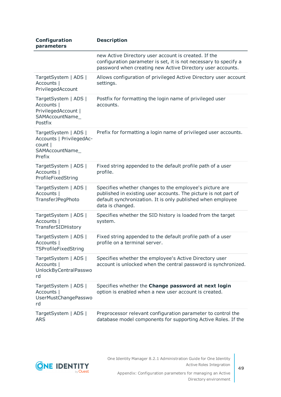| Configuration<br>parameters                                                              | <b>Description</b>                                                                                                                                                                                            |
|------------------------------------------------------------------------------------------|---------------------------------------------------------------------------------------------------------------------------------------------------------------------------------------------------------------|
|                                                                                          | new Active Directory user account is created. If the<br>configuration parameter is set, it is not necessary to specify a<br>password when creating new Active Directory user accounts.                        |
| TargetSystem   ADS  <br>Accounts  <br>PrivilegedAccount                                  | Allows configuration of privileged Active Directory user account<br>settings.                                                                                                                                 |
| TargetSystem   ADS  <br>Accounts  <br>PrivilegedAccount  <br>SAMAccountName_<br>Postfix  | Postfix for formatting the login name of privileged user<br>accounts.                                                                                                                                         |
| TargetSystem   ADS  <br>Accounts   PrivilegedAc-<br>count  <br>SAMAccountName_<br>Prefix | Prefix for formatting a login name of privileged user accounts.                                                                                                                                               |
| TargetSystem   ADS  <br>Accounts  <br>ProfileFixedString                                 | Fixed string appended to the default profile path of a user<br>profile.                                                                                                                                       |
| TargetSystem   ADS  <br>Accounts  <br>TransferJPegPhoto                                  | Specifies whether changes to the employee's picture are<br>published in existing user accounts. The picture is not part of<br>default synchronization. It is only published when employee<br>data is changed. |
| TargetSystem   ADS  <br>Accounts  <br>TransferSIDHistory                                 | Specifies whether the SID history is loaded from the target<br>system.                                                                                                                                        |
| TargetSystem   ADS  <br>Accounts  <br>TSProfileFixedString                               | Fixed string appended to the default profile path of a user<br>profile on a terminal server.                                                                                                                  |
| TargetSystem   ADS  <br>Accounts  <br>UnlockByCentralPasswo<br>rd                        | Specifies whether the employee's Active Directory user<br>account is unlocked when the central password is synchronized.                                                                                      |
| TargetSystem   ADS  <br>Accounts  <br>UserMustChangePasswo<br>rd                         | Specifies whether the Change password at next login<br>option is enabled when a new user account is created.                                                                                                  |
| TargetSystem   ADS  <br><b>ARS</b>                                                       | Preprocessor relevant configuration parameter to control the<br>database model components for supporting Active Roles. If the                                                                                 |

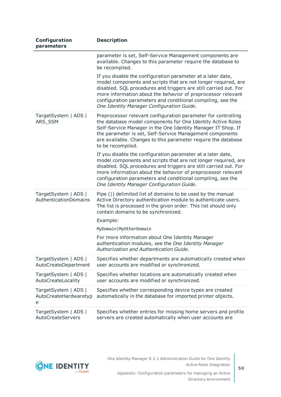| Configuration<br>parameters                        | <b>Description</b>                                                                                                                                                                                                                                                                                                                                                            |
|----------------------------------------------------|-------------------------------------------------------------------------------------------------------------------------------------------------------------------------------------------------------------------------------------------------------------------------------------------------------------------------------------------------------------------------------|
|                                                    | parameter is set, Self-Service Management components are<br>available. Changes to this parameter require the database to<br>be recompiled.                                                                                                                                                                                                                                    |
|                                                    | If you disable the configuration parameter at a later date,<br>model components and scripts that are not longer required, are<br>disabled. SQL procedures and triggers are still carried out. For<br>more information about the behavior of preprocessor relevant<br>configuration parameters and conditional compiling, see the<br>One Identity Manager Configuration Guide. |
| TargetSystem   ADS  <br>ARS_SSM                    | Preprocessor relevant configuration parameter for controlling<br>the database model components for One Identity Active Roles<br>Self-Service Manager in the One Identity Manager IT Shop. If<br>the parameter is set, Self-Service Management components<br>are available. Changes to this parameter require the database<br>to be recompiled.                                |
|                                                    | If you disable the configuration parameter at a later date,<br>model components and scripts that are not longer required, are<br>disabled. SQL procedures and triggers are still carried out. For<br>more information about the behavior of preprocessor relevant<br>configuration parameters and conditional compiling, see the<br>One Identity Manager Configuration Guide. |
| TargetSystem   ADS  <br>AuthenticationDomains      | Pipe ( ) delimited list of domains to be used by the manual<br>Active Directory authentication module to authenticate users.<br>The list is processed in the given order. This list should only<br>contain domains to be synchronized.                                                                                                                                        |
|                                                    | Example:<br>MyDomain   MyOtherDomain                                                                                                                                                                                                                                                                                                                                          |
|                                                    | For more information about One Identity Manager<br>authentication modules, see the One Identity Manager<br>Authorization and Authentication Guide.                                                                                                                                                                                                                            |
| TargetSystem   ADS  <br>AutoCreateDepartment       | Specifies whether departments are automatically created when<br>user accounts are modified or synchronized.                                                                                                                                                                                                                                                                   |
| TargetSystem   ADS  <br>AutoCreateLocality         | Specifies whether locations are automatically created when<br>user accounts are modified or synchronized.                                                                                                                                                                                                                                                                     |
| TargetSystem   ADS  <br>AutoCreateHardwaretyp<br>e | Specifies whether corresponding device types are created<br>automatically in the database for imported printer objects.                                                                                                                                                                                                                                                       |
| TargetSystem   ADS  <br>AutoCreateServers          | Specifies whether entries for missing home servers and profile<br>servers are created automatically when user accounts are                                                                                                                                                                                                                                                    |



One Identity Manager 8.2.1 Administration Guide for One Identity Active Roles Integration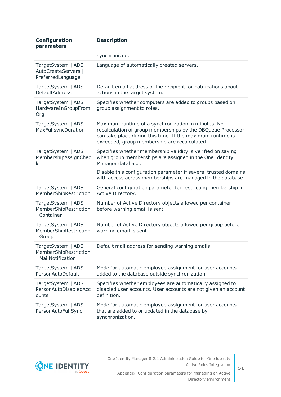| Configuration<br>parameters                                         | <b>Description</b>                                                                                                                                                                                                               |
|---------------------------------------------------------------------|----------------------------------------------------------------------------------------------------------------------------------------------------------------------------------------------------------------------------------|
|                                                                     | synchronized.                                                                                                                                                                                                                    |
| TargetSystem   ADS  <br>AutoCreateServers  <br>PreferredLanguage    | Language of automatically created servers.                                                                                                                                                                                       |
| TargetSystem   ADS  <br>DefaultAddress                              | Default email address of the recipient for notifications about<br>actions in the target system.                                                                                                                                  |
| TargetSystem   ADS  <br>HardwareInGroupFrom<br>Org                  | Specifies whether computers are added to groups based on<br>group assignment to roles.                                                                                                                                           |
| TargetSystem   ADS  <br>MaxFullsyncDuration                         | Maximum runtime of a synchronization in minutes. No<br>recalculation of group memberships by the DBQueue Processor<br>can take place during this time. If the maximum runtime is<br>exceeded, group membership are recalculated. |
| TargetSystem   ADS  <br>MembershipAssignChec<br>k                   | Specifies whether membership validity is verified on saving<br>when group memberships are assigned in the One Identity<br>Manager database.                                                                                      |
|                                                                     | Disable this configuration parameter if several trusted domains<br>with access across memberships are managed in the database.                                                                                                   |
| TargetSystem   ADS  <br>MemberShipRestriction                       | General configuration parameter for restricting membership in<br>Active Directory.                                                                                                                                               |
| TargetSystem   ADS  <br>MemberShipRestriction<br>  Container        | Number of Active Directory objects allowed per container<br>before warning email is sent.                                                                                                                                        |
| TargetSystem   ADS  <br>MemberShipRestriction<br>  Group            | Number of Active Directory objects allowed per group before<br>warning email is sent.                                                                                                                                            |
| TargetSystem   ADS  <br>MemberShipRestriction<br>  MailNotification | Default mail address for sending warning emails.                                                                                                                                                                                 |
| TargetSystem   ADS  <br>PersonAutoDefault                           | Mode for automatic employee assignment for user accounts<br>added to the database outside synchronization.                                                                                                                       |
| TargetSystem   ADS  <br>PersonAutoDisabledAcc<br>ounts              | Specifies whether employees are automatically assigned to<br>disabled user accounts. User accounts are not given an account<br>definition.                                                                                       |
| TargetSystem   ADS  <br>PersonAutoFullSync                          | Mode for automatic employee assignment for user accounts<br>that are added to or updated in the database by<br>synchronization.                                                                                                  |

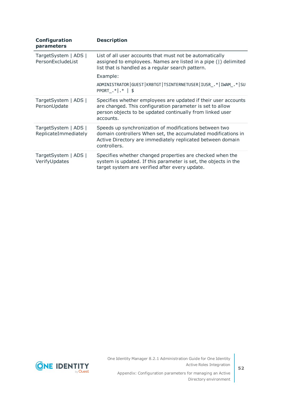| Configuration<br>parameters                  | <b>Description</b>                                                                                                                                                                                    |
|----------------------------------------------|-------------------------------------------------------------------------------------------------------------------------------------------------------------------------------------------------------|
| TargetSystem   ADS  <br>PersonExcludeList    | List of all user accounts that must not be automatically<br>assigned to employees. Names are listed in a pipe ( ) delimited<br>list that is handled as a regular search pattern.                      |
|                                              | Example:                                                                                                                                                                                              |
|                                              | ADMINISTRATOR   GUEST   KRBTGT   TSINTERNETUSER   IUSR . *   IWAM . *   SU<br>PPORT $.*$   $*$   \$                                                                                                   |
| TargetSystem   ADS  <br>PersonUpdate         | Specifies whether employees are updated if their user accounts<br>are changed. This configuration parameter is set to allow<br>person objects to be updated continually from linked user<br>accounts. |
| TargetSystem   ADS  <br>ReplicateImmediately | Speeds up synchronization of modifications between two<br>domain controllers When set, the accumulated modifications in<br>Active Directory are immediately replicated between domain<br>controllers. |
| TargetSystem   ADS  <br>VerifyUpdates        | Specifies whether changed properties are checked when the<br>system is updated. If this parameter is set, the objects in the<br>target system are verified after every update.                        |

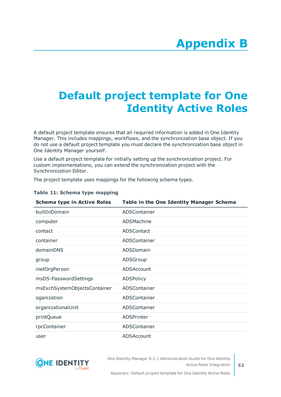# <span id="page-52-0"></span>**Appendix:Default project template for One Identity Active Roles**

A default project template ensures that all required information is added in One Identity Manager. This includes mappings, workflows, and the synchronization base object. If you do not use a default project template you must declare the synchronization base object in One Identity Manager yourself.

Use a default project template for initially setting up the synchronization project. For custom implementations, you can extend the synchronization project with the Synchronization Editor.

The project template uses mappings for the following schema types.

| <b>Schema type in Active Roles</b> | Table in the One Identity Manager Schema |
|------------------------------------|------------------------------------------|
| builtInDomain                      | ADSContainer                             |
| computer                           | ADSMachine                               |
| contact                            | <b>ADSContact</b>                        |
| container                          | ADSContainer                             |
| domainDNS                          | ADSDomain                                |
| group                              | ADSGroup                                 |
| inetOrgPerson                      | ADSAccount                               |
| msDS-PasswordSettings              | <b>ADSPolicy</b>                         |
| msExchSystemObjectsContainer       | ADSContainer                             |
| oganization                        | ADSContainer                             |
| organizationalUnit                 | ADSContainer                             |
| printQueue                         | <b>ADSPrinter</b>                        |
| rpcContainer                       | ADSContainer                             |
| user                               | ADSAccount                               |

#### **Table 11: Schema type mapping**



One Identity Manager 8.2.1 Administration Guide for One Identity Active Roles Integration

Appendix: Default project template for One Identity Active Roles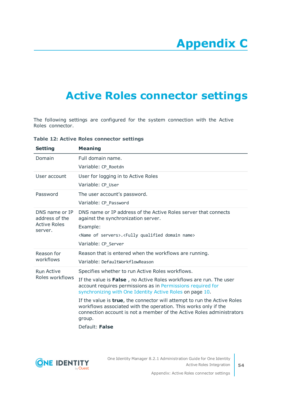# **Appendix C**

## <span id="page-53-0"></span>**Appendix:Active Roles connector settings**

The following settings are configured for the system connection with the Active Roles connector.

**Table 12: Active Roles connector settings**

| <b>Setting</b>                                                     | <b>Meaning</b>                                                                                                                                                                                                                                                                                                                                                                                                                                                                                                |
|--------------------------------------------------------------------|---------------------------------------------------------------------------------------------------------------------------------------------------------------------------------------------------------------------------------------------------------------------------------------------------------------------------------------------------------------------------------------------------------------------------------------------------------------------------------------------------------------|
| Domain                                                             | Full domain name.<br>Variable: CP_Rootdn                                                                                                                                                                                                                                                                                                                                                                                                                                                                      |
| User account                                                       | User for logging in to Active Roles<br>Variable: CP_User                                                                                                                                                                                                                                                                                                                                                                                                                                                      |
| Password                                                           | The user account's password.<br>Variable: CP_Password                                                                                                                                                                                                                                                                                                                                                                                                                                                         |
| DNS name or IP<br>address of the<br><b>Active Roles</b><br>server. | DNS name or IP address of the Active Roles server that connects<br>against the synchronization server.<br>Example:<br><name of="" servers="">.<fully domain="" name="" qualified=""><br/>Variable: CP_Server</fully></name>                                                                                                                                                                                                                                                                                   |
| Reason for<br>workflows                                            | Reason that is entered when the workflows are running.<br>Variable: DefaultWorkflowReason                                                                                                                                                                                                                                                                                                                                                                                                                     |
| <b>Run Active</b><br>Roles workflows                               | Specifies whether to run Active Roles workflows.<br>If the value is False, no Active Roles workflows are run. The user<br>account requires permissions as in Permissions required for<br>synchronizing with One Identity Active Roles on page 10.<br>If the value is <b>true</b> , the connector will attempt to run the Active Roles<br>workflows associated with the operation. This works only if the<br>connection account is not a member of the Active Roles administrators<br>group.<br>Default: False |
|                                                                    |                                                                                                                                                                                                                                                                                                                                                                                                                                                                                                               |

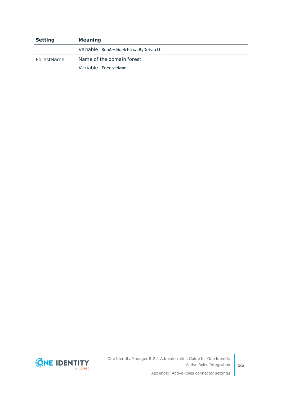| <b>Setting</b> | <b>Meaning</b>                     |
|----------------|------------------------------------|
|                | Variable: RunArsWorkflowsByDefault |
| ForestName     | Name of the domain forest.         |
|                | Variable: ForestName               |



One Identity Manager 8.2.1 Administration Guide for One Identity Active Roles Integration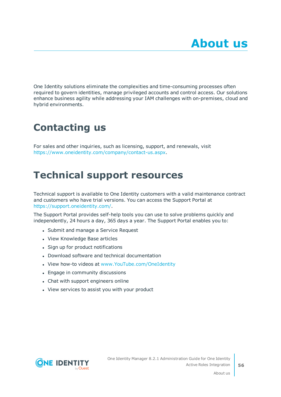<span id="page-55-0"></span>One Identity solutions eliminate the complexities and time-consuming processes often required to govern identities, manage privileged accounts and control access. Our solutions enhance business agility while addressing your IAM challenges with on-premises, cloud and hybrid environments.

## <span id="page-55-1"></span>**Contacting us**

For sales and other inquiries, such as licensing, support, and renewals, visit <https://www.oneidentity.com/company/contact-us.aspx>.

### <span id="page-55-2"></span>**Technical support resources**

Technical support is available to One Identity customers with a valid maintenance contract and customers who have trial versions. You can access the Support Portal at [https://support.oneidentity.com/.](https://support.oneidentity.com/)

The Support Portal provides self-help tools you can use to solve problems quickly and independently, 24 hours a day, 365 days a year. The Support Portal enables you to:

- Submit and manage a Service Request
- View Knowledge Base articles
- Sign up for product notifications
- Download software and technical documentation
- View how-to videos at [www.YouTube.com/OneIdentity](http://www.youtube.com/OneIdentity)
- Engage in community discussions
- Chat with support engineers online
- View services to assist you with your product

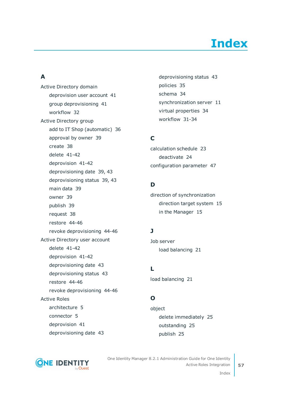# **Index**

### <span id="page-56-0"></span>**A**

Active Directory domain deprovision user account [41](#page-40-0) group deprovisioning [41](#page-40-0) workflow [32](#page-31-0) Active Directory group add to IT Shop (automatic) [36](#page-35-1) approval by owner [39](#page-38-0) create [38](#page-37-0) delete [41-42](#page-40-1) deprovision [41-42](#page-40-0) deprovisioning date [39,](#page-38-0) [43](#page-42-0) deprovisioning status [39](#page-38-0), [43](#page-42-0) main data [39](#page-38-0) owner [39](#page-38-0) publish [39](#page-38-0) request [38](#page-37-0) restore [44-46](#page-43-0) revoke deprovisioning [44-46](#page-43-0) Active Directory user account delete [41-42](#page-40-1) deprovision [41-42](#page-40-0) deprovisioning date [43](#page-42-0) deprovisioning status [43](#page-42-0) restore [44-46](#page-43-0) revoke deprovisioning [44-46](#page-43-0) Active Roles architecture [5](#page-4-1) connector [5](#page-4-1) deprovision [41](#page-40-0) deprovisioning date [43](#page-42-0)

deprovisioning status [43](#page-42-0) policies [35](#page-34-0) schema [34](#page-33-0) synchronization server [11](#page-10-0) virtual properties [34](#page-33-0) workflow [31-34](#page-30-0)

### **C**

calculation schedule [23](#page-22-0) deactivate [24](#page-23-0) configuration parameter [47](#page-46-0)

### **D**

direction of synchronization direction target system [15](#page-14-0) in the Manager [15](#page-14-0)

### **J**

Job server load balancing [21](#page-20-0)

**L** load balancing [21](#page-20-0)

### **O**

object delete immediately [25](#page-24-1) outstanding [25](#page-24-1) publish [25](#page-24-1)



One Identity Manager 8.2.1 Administration Guide for One Identity Active Roles Integration

Index